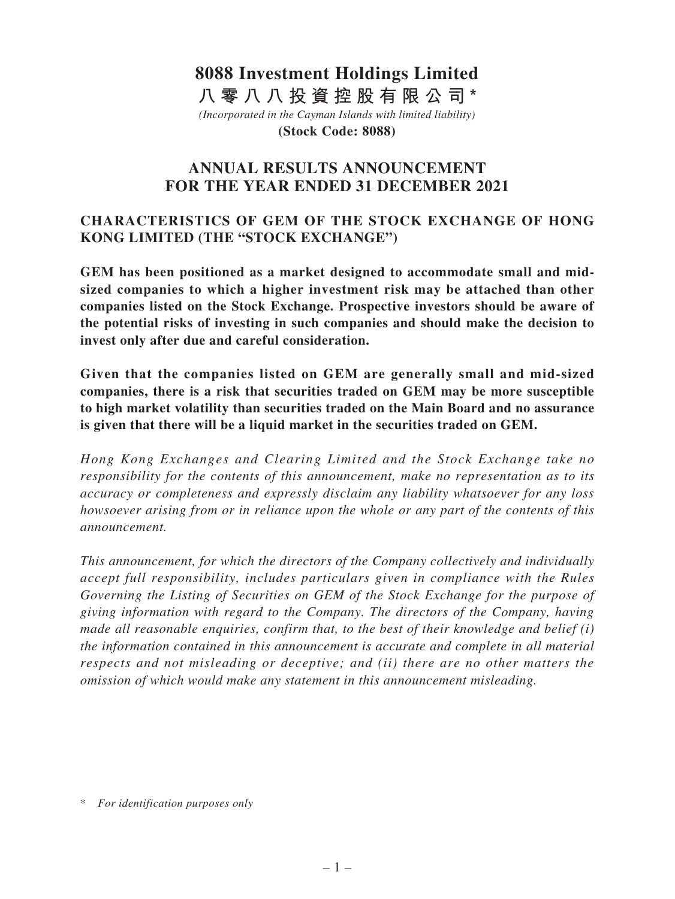# *(Incorporated in the Cayman Islands with limited liability)* **(Stock Code: 8088) 8088 Investment Holdings Limited 八零八八投資控股有限公司\***

# **ANNUAL RESULTS ANNOUNCEMENT FOR THE YEAR ENDED 31 DECEMBER 2021**

# **CHARACTERISTICS OF GEM OF THE STOCK EXCHANGE OF HONG KONG LIMITED (THE "STOCK EXCHANGE")**

**GEM has been positioned as a market designed to accommodate small and midsized companies to which a higher investment risk may be attached than other companies listed on the Stock Exchange. Prospective investors should be aware of the potential risks of investing in such companies and should make the decision to invest only after due and careful consideration.**

**Given that the companies listed on GEM are generally small and mid-sized companies, there is a risk that securities traded on GEM may be more susceptible to high market volatility than securities traded on the Main Board and no assurance is given that there will be a liquid market in the securities traded on GEM.**

*Hong Kong Exchanges and Clearing Limited and the Stock Exchange take no responsibility for the contents of this announcement, make no representation as to its accuracy or completeness and expressly disclaim any liability whatsoever for any loss howsoever arising from or in reliance upon the whole or any part of the contents of this announcement.*

*This announcement, for which the directors of the Company collectively and individually accept full responsibility, includes particulars given in compliance with the Rules Governing the Listing of Securities on GEM of the Stock Exchange for the purpose of giving information with regard to the Company. The directors of the Company, having made all reasonable enquiries, confirm that, to the best of their knowledge and belief (i) the information contained in this announcement is accurate and complete in all material respects and not misleading or deceptive; and (ii) there are no other matters the omission of which would make any statement in this announcement misleading.*

\* *For identification purposes only*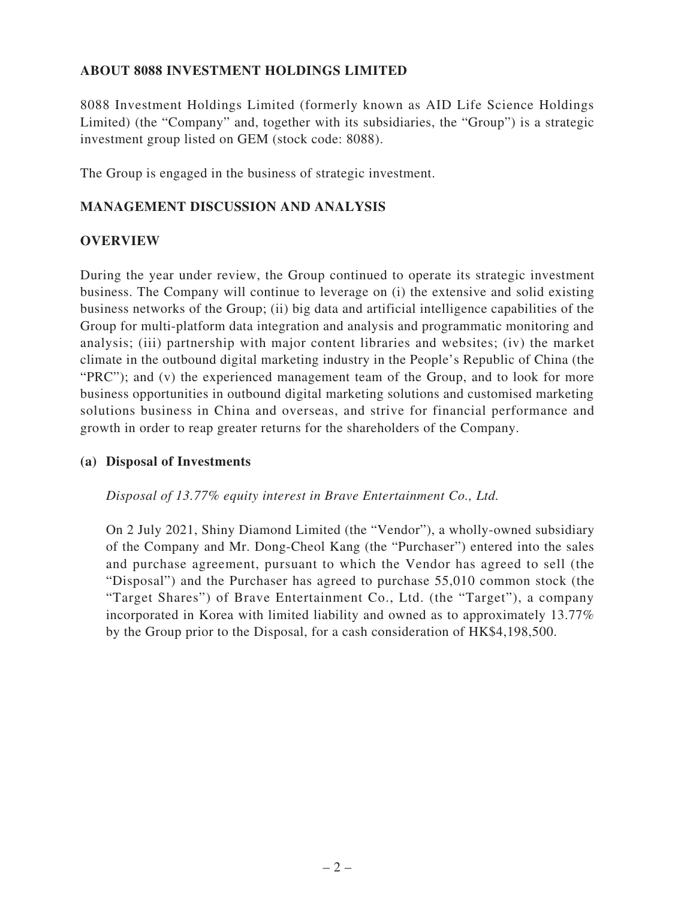# **ABOUT 8088 INVESTMENT HOLDINGS LIMITED**

8088 Investment Holdings Limited (formerly known as AID Life Science Holdings Limited) (the "Company" and, together with its subsidiaries, the "Group") is a strategic investment group listed on GEM (stock code: 8088).

The Group is engaged in the business of strategic investment.

### **MANAGEMENT DISCUSSION AND ANALYSIS**

### **OVERVIEW**

During the year under review, the Group continued to operate its strategic investment business. The Company will continue to leverage on (i) the extensive and solid existing business networks of the Group; (ii) big data and artificial intelligence capabilities of the Group for multi-platform data integration and analysis and programmatic monitoring and analysis; (iii) partnership with major content libraries and websites; (iv) the market climate in the outbound digital marketing industry in the People's Republic of China (the "PRC"); and (v) the experienced management team of the Group, and to look for more business opportunities in outbound digital marketing solutions and customised marketing solutions business in China and overseas, and strive for financial performance and growth in order to reap greater returns for the shareholders of the Company.

### **(a) Disposal of Investments**

*Disposal of 13.77% equity interest in Brave Entertainment Co., Ltd.*

On 2 July 2021, Shiny Diamond Limited (the "Vendor"), a wholly-owned subsidiary of the Company and Mr. Dong-Cheol Kang (the "Purchaser") entered into the sales and purchase agreement, pursuant to which the Vendor has agreed to sell (the "Disposal") and the Purchaser has agreed to purchase 55,010 common stock (the "Target Shares") of Brave Entertainment Co., Ltd. (the "Target"), a company incorporated in Korea with limited liability and owned as to approximately 13.77% by the Group prior to the Disposal, for a cash consideration of HK\$4,198,500.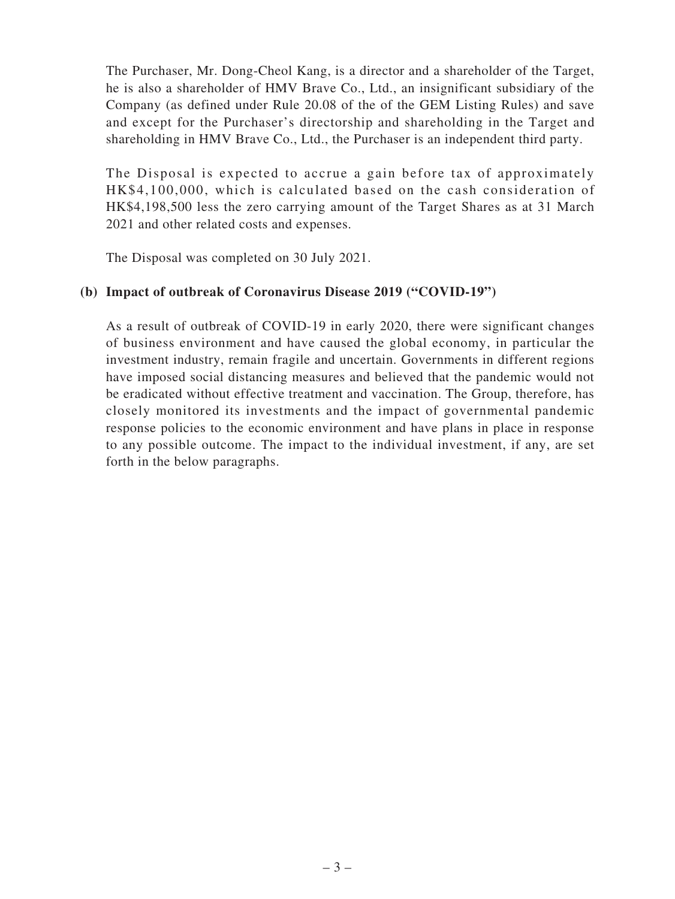The Purchaser, Mr. Dong-Cheol Kang, is a director and a shareholder of the Target, he is also a shareholder of HMV Brave Co., Ltd., an insignificant subsidiary of the Company (as defined under Rule 20.08 of the of the GEM Listing Rules) and save and except for the Purchaser's directorship and shareholding in the Target and shareholding in HMV Brave Co., Ltd., the Purchaser is an independent third party.

The Disposal is expected to accrue a gain before tax of approximately HK\$4,100,000, which is calculated based on the cash consideration of HK\$4,198,500 less the zero carrying amount of the Target Shares as at 31 March 2021 and other related costs and expenses.

The Disposal was completed on 30 July 2021.

### **(b) Impact of outbreak of Coronavirus Disease 2019 ("COVID-19")**

As a result of outbreak of COVID-19 in early 2020, there were significant changes of business environment and have caused the global economy, in particular the investment industry, remain fragile and uncertain. Governments in different regions have imposed social distancing measures and believed that the pandemic would not be eradicated without effective treatment and vaccination. The Group, therefore, has closely monitored its investments and the impact of governmental pandemic response policies to the economic environment and have plans in place in response to any possible outcome. The impact to the individual investment, if any, are set forth in the below paragraphs.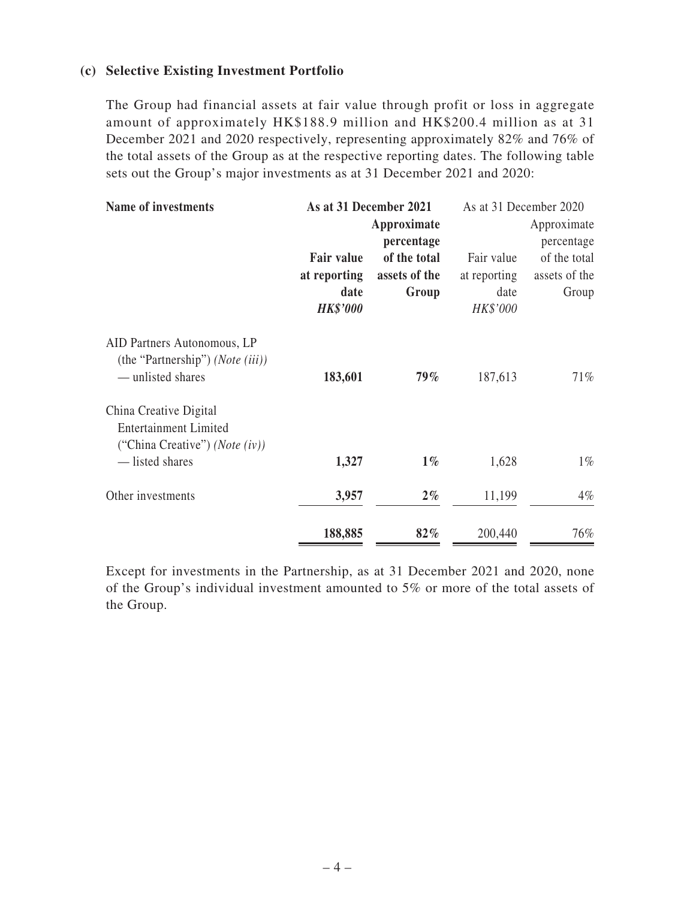### **(c) Selective Existing Investment Portfolio**

The Group had financial assets at fair value through profit or loss in aggregate amount of approximately HK\$188.9 million and HK\$200.4 million as at 31 December 2021 and 2020 respectively, representing approximately 82% and 76% of the total assets of the Group as at the respective reporting dates. The following table sets out the Group's major investments as at 31 December 2021 and 2020:

| Name of investments                                                                  |                   | As at 31 December 2021 |              | As at 31 December 2020 |
|--------------------------------------------------------------------------------------|-------------------|------------------------|--------------|------------------------|
|                                                                                      |                   | Approximate            |              | Approximate            |
|                                                                                      |                   | percentage             |              | percentage             |
|                                                                                      | <b>Fair value</b> | of the total           | Fair value   | of the total           |
|                                                                                      | at reporting      | assets of the          | at reporting | assets of the          |
|                                                                                      | date              | Group                  | date         | Group                  |
|                                                                                      | <b>HK\$'000</b>   |                        | HK\$'000     |                        |
| AID Partners Autonomous, LP<br>(the "Partnership") (Note (iii))<br>— unlisted shares | 183,601           | $79\%$                 |              | 71%                    |
|                                                                                      |                   |                        | 187,613      |                        |
| China Creative Digital                                                               |                   |                        |              |                        |
| <b>Entertainment Limited</b><br>("China Creative") ( <i>Note</i> $(iv)$ )            |                   |                        |              |                        |
| — listed shares                                                                      | 1,327             | $1\%$                  | 1,628        | $1\%$                  |
| Other investments                                                                    | 3,957             | $2\%$                  | 11,199       | $4\%$                  |
|                                                                                      | 188,885           | 82%                    | 200,440      | 76%                    |

Except for investments in the Partnership, as at 31 December 2021 and 2020, none of the Group's individual investment amounted to 5% or more of the total assets of the Group.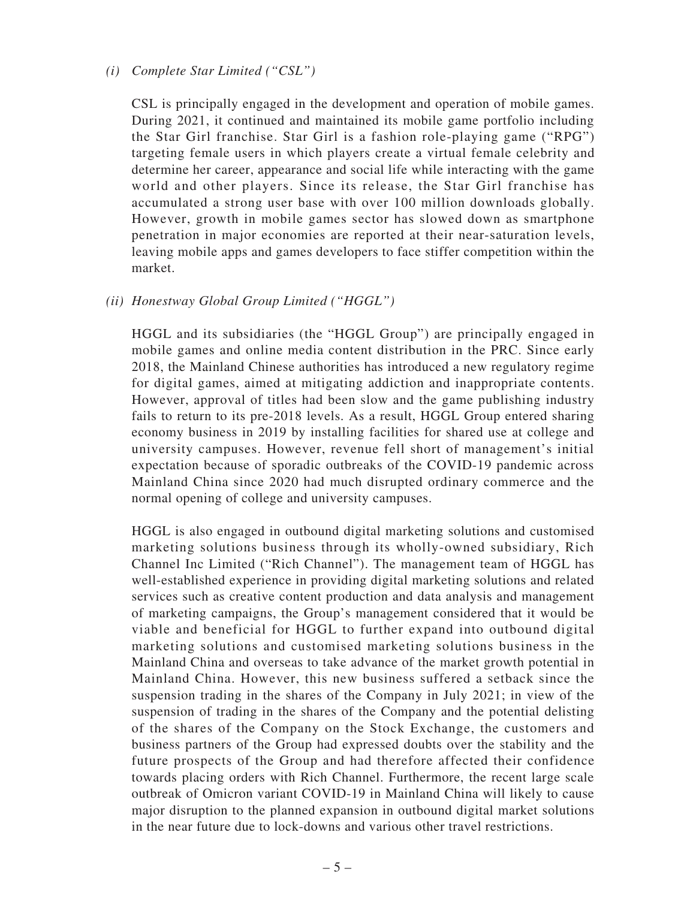#### *(i) Complete Star Limited ("CSL")*

CSL is principally engaged in the development and operation of mobile games. During 2021, it continued and maintained its mobile game portfolio including the Star Girl franchise. Star Girl is a fashion role-playing game ("RPG") targeting female users in which players create a virtual female celebrity and determine her career, appearance and social life while interacting with the game world and other players. Since its release, the Star Girl franchise has accumulated a strong user base with over 100 million downloads globally. However, growth in mobile games sector has slowed down as smartphone penetration in major economies are reported at their near-saturation levels, leaving mobile apps and games developers to face stiffer competition within the market.

### *(ii) Honestway Global Group Limited ("HGGL")*

HGGL and its subsidiaries (the "HGGL Group") are principally engaged in mobile games and online media content distribution in the PRC. Since early 2018, the Mainland Chinese authorities has introduced a new regulatory regime for digital games, aimed at mitigating addiction and inappropriate contents. However, approval of titles had been slow and the game publishing industry fails to return to its pre-2018 levels. As a result, HGGL Group entered sharing economy business in 2019 by installing facilities for shared use at college and university campuses. However, revenue fell short of management's initial expectation because of sporadic outbreaks of the COVID-19 pandemic across Mainland China since 2020 had much disrupted ordinary commerce and the normal opening of college and university campuses.

HGGL is also engaged in outbound digital marketing solutions and customised marketing solutions business through its wholly-owned subsidiary, Rich Channel Inc Limited ("Rich Channel"). The management team of HGGL has well-established experience in providing digital marketing solutions and related services such as creative content production and data analysis and management of marketing campaigns, the Group's management considered that it would be viable and beneficial for HGGL to further expand into outbound digital marketing solutions and customised marketing solutions business in the Mainland China and overseas to take advance of the market growth potential in Mainland China. However, this new business suffered a setback since the suspension trading in the shares of the Company in July 2021; in view of the suspension of trading in the shares of the Company and the potential delisting of the shares of the Company on the Stock Exchange, the customers and business partners of the Group had expressed doubts over the stability and the future prospects of the Group and had therefore affected their confidence towards placing orders with Rich Channel. Furthermore, the recent large scale outbreak of Omicron variant COVID-19 in Mainland China will likely to cause major disruption to the planned expansion in outbound digital market solutions in the near future due to lock-downs and various other travel restrictions.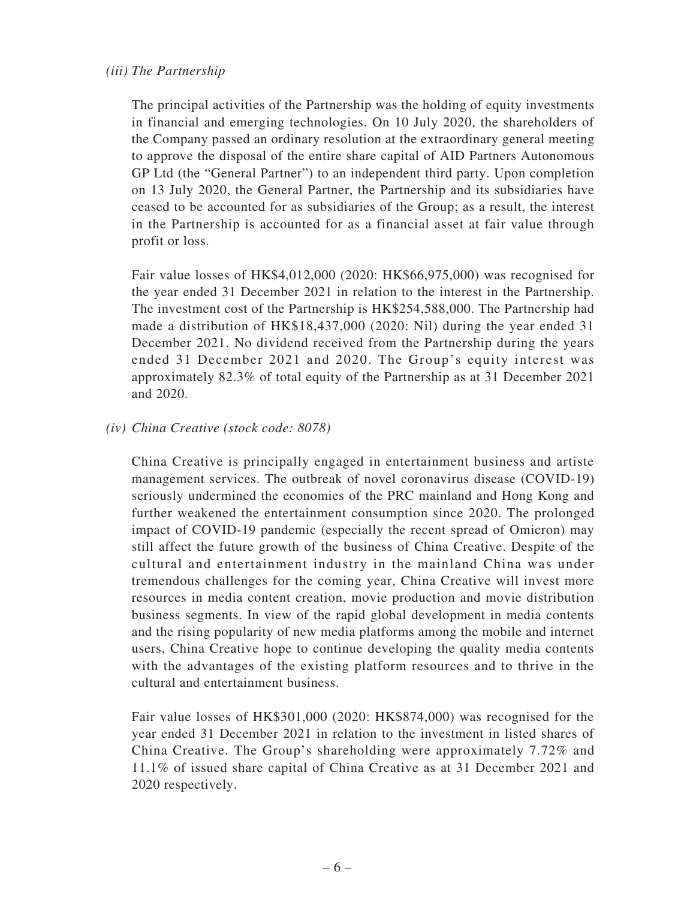### *(iii) The Partnership*

The principal activities of the Partnership was the holding of equity investments in financial and emerging technologies. On 10 July 2020, the shareholders of the Company passed an ordinary resolution at the extraordinary general meeting to approve the disposal of the entire share capital of AID Partners Autonomous GP Ltd (the "General Partner") to an independent third party. Upon completion on 13 July 2020, the General Partner, the Partnership and its subsidiaries have ceased to be accounted for as subsidiaries of the Group; as a result, the interest in the Partnership is accounted for as a financial asset at fair value through profit or loss.

Fair value losses of HK\$4,012,000 (2020: HK\$66,975,000) was recognised for the year ended 31 December 2021 in relation to the interest in the Partnership. The investment cost of the Partnership is HK\$254,588,000. The Partnership had made a distribution of HK\$18,437,000 (2020: Nil) during the year ended 31 December 2021. No dividend received from the Partnership during the years ended 31 December 2021 and 2020. The Group's equity interest was approximately 82.3% of total equity of the Partnership as at 31 December 2021 and 2020.

### *(iv) China Creative (stock code: 8078)*

China Creative is principally engaged in entertainment business and artiste management services. The outbreak of novel coronavirus disease (COVID-19) seriously undermined the economies of the PRC mainland and Hong Kong and further weakened the entertainment consumption since 2020. The prolonged impact of COVID-19 pandemic (especially the recent spread of Omicron) may still affect the future growth of the business of China Creative. Despite of the cultural and entertainment industry in the mainland China was under tremendous challenges for the coming year, China Creative will invest more resources in media content creation, movie production and movie distribution business segments. In view of the rapid global development in media contents and the rising popularity of new media platforms among the mobile and internet users, China Creative hope to continue developing the quality media contents with the advantages of the existing platform resources and to thrive in the cultural and entertainment business.

Fair value losses of HK\$301,000 (2020: HK\$874,000) was recognised for the year ended 31 December 2021 in relation to the investment in listed shares of China Creative. The Group's shareholding were approximately 7.72% and 11.1% of issued share capital of China Creative as at 31 December 2021 and 2020 respectively.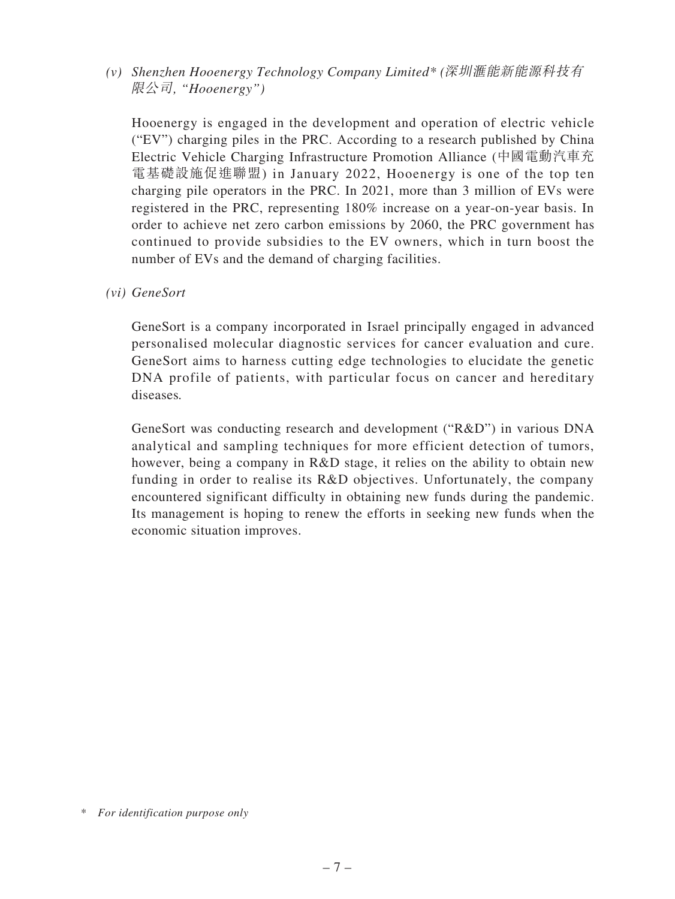*(v) Shenzhen Hooenergy Technology Company Limited\* (*深圳滙能新能源科技有 限公司*, "Hooenergy")*

Hooenergy is engaged in the development and operation of electric vehicle ("EV") charging piles in the PRC. According to a research published by China Electric Vehicle Charging Infrastructure Promotion Alliance (中國電動汽車充 電基礎設施促進聯盟) in January 2022, Hooenergy is one of the top ten charging pile operators in the PRC. In 2021, more than 3 million of EVs were registered in the PRC, representing 180% increase on a year-on-year basis. In order to achieve net zero carbon emissions by 2060, the PRC government has continued to provide subsidies to the EV owners, which in turn boost the number of EVs and the demand of charging facilities.

*(vi) GeneSort*

GeneSort is a company incorporated in Israel principally engaged in advanced personalised molecular diagnostic services for cancer evaluation and cure. GeneSort aims to harness cutting edge technologies to elucidate the genetic DNA profile of patients, with particular focus on cancer and hereditary diseases*.*

GeneSort was conducting research and development ("R&D") in various DNA analytical and sampling techniques for more efficient detection of tumors, however, being a company in R&D stage, it relies on the ability to obtain new funding in order to realise its R&D objectives. Unfortunately, the company encountered significant difficulty in obtaining new funds during the pandemic. Its management is hoping to renew the efforts in seeking new funds when the economic situation improves.

*<sup>\*</sup> For identification purpose only*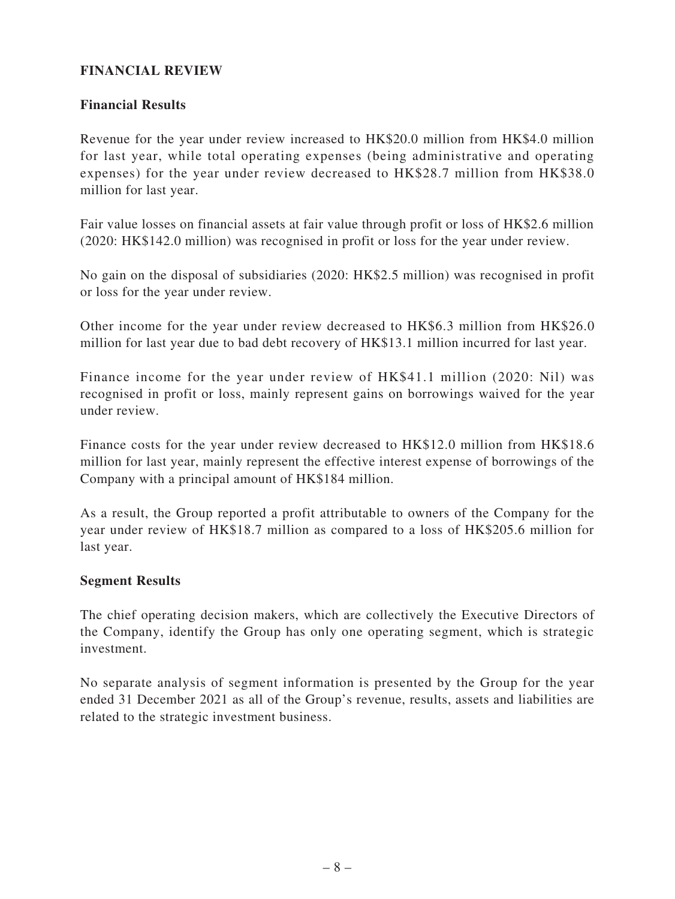# **FINANCIAL REVIEW**

### **Financial Results**

Revenue for the year under review increased to HK\$20.0 million from HK\$4.0 million for last year, while total operating expenses (being administrative and operating expenses) for the year under review decreased to HK\$28.7 million from HK\$38.0 million for last year.

Fair value losses on financial assets at fair value through profit or loss of HK\$2.6 million (2020: HK\$142.0 million) was recognised in profit or loss for the year under review.

No gain on the disposal of subsidiaries (2020: HK\$2.5 million) was recognised in profit or loss for the year under review.

Other income for the year under review decreased to HK\$6.3 million from HK\$26.0 million for last year due to bad debt recovery of HK\$13.1 million incurred for last year.

Finance income for the year under review of HK\$41.1 million (2020: Nil) was recognised in profit or loss, mainly represent gains on borrowings waived for the year under review.

Finance costs for the year under review decreased to HK\$12.0 million from HK\$18.6 million for last year, mainly represent the effective interest expense of borrowings of the Company with a principal amount of HK\$184 million.

As a result, the Group reported a profit attributable to owners of the Company for the year under review of HK\$18.7 million as compared to a loss of HK\$205.6 million for last year.

### **Segment Results**

The chief operating decision makers, which are collectively the Executive Directors of the Company, identify the Group has only one operating segment, which is strategic investment.

No separate analysis of segment information is presented by the Group for the year ended 31 December 2021 as all of the Group's revenue, results, assets and liabilities are related to the strategic investment business.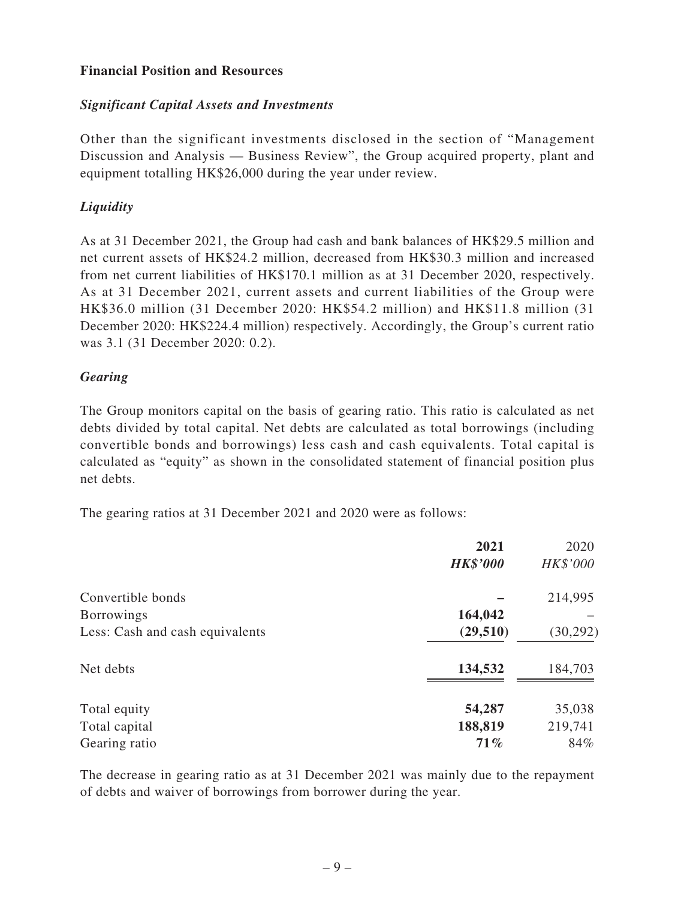## **Financial Position and Resources**

## *Significant Capital Assets and Investments*

Other than the significant investments disclosed in the section of "Management Discussion and Analysis — Business Review", the Group acquired property, plant and equipment totalling HK\$26,000 during the year under review.

# *Liquidity*

As at 31 December 2021, the Group had cash and bank balances of HK\$29.5 million and net current assets of HK\$24.2 million, decreased from HK\$30.3 million and increased from net current liabilities of HK\$170.1 million as at 31 December 2020, respectively. As at 31 December 2021, current assets and current liabilities of the Group were HK\$36.0 million (31 December 2020: HK\$54.2 million) and HK\$11.8 million (31 December 2020: HK\$224.4 million) respectively. Accordingly, the Group's current ratio was 3.1 (31 December 2020: 0.2).

### *Gearing*

The Group monitors capital on the basis of gearing ratio. This ratio is calculated as net debts divided by total capital. Net debts are calculated as total borrowings (including convertible bonds and borrowings) less cash and cash equivalents. Total capital is calculated as "equity" as shown in the consolidated statement of financial position plus net debts.

The gearing ratios at 31 December 2021 and 2020 were as follows:

|                                 | 2021            | 2020      |
|---------------------------------|-----------------|-----------|
|                                 | <b>HK\$'000</b> | HK\$'000  |
| Convertible bonds               |                 | 214,995   |
| <b>Borrowings</b>               | 164,042         |           |
| Less: Cash and cash equivalents | (29, 510)       | (30, 292) |
| Net debts                       | 134,532         | 184,703   |
| Total equity                    | 54,287          | 35,038    |
| Total capital                   | 188,819         | 219,741   |
| Gearing ratio                   | 71%             | 84%       |

The decrease in gearing ratio as at 31 December 2021 was mainly due to the repayment of debts and waiver of borrowings from borrower during the year.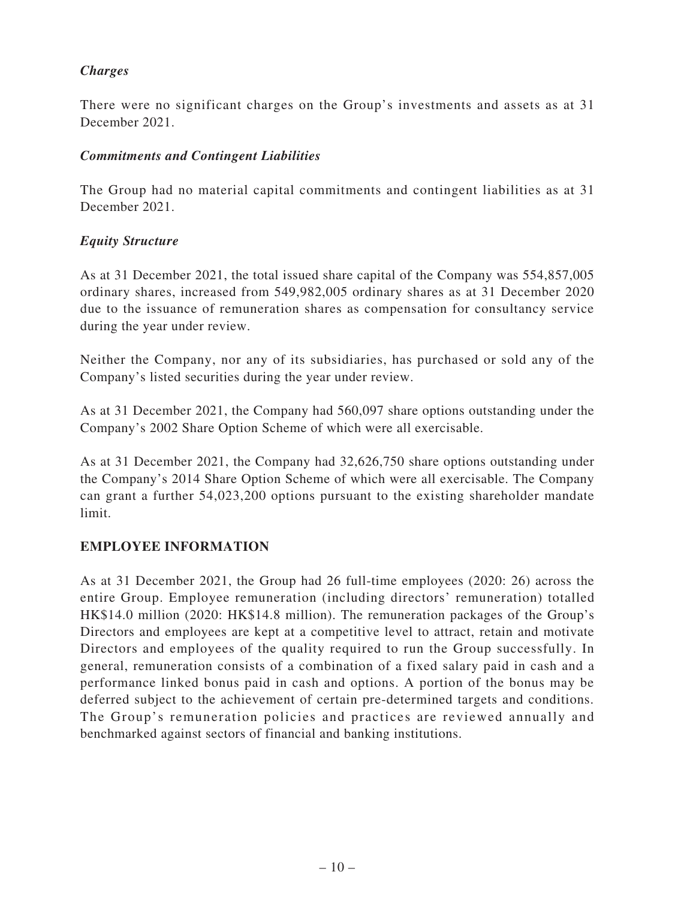# *Charges*

There were no significant charges on the Group's investments and assets as at 31 December 2021.

# *Commitments and Contingent Liabilities*

The Group had no material capital commitments and contingent liabilities as at 31 December 2021.

# *Equity Structure*

As at 31 December 2021, the total issued share capital of the Company was 554,857,005 ordinary shares, increased from 549,982,005 ordinary shares as at 31 December 2020 due to the issuance of remuneration shares as compensation for consultancy service during the year under review.

Neither the Company, nor any of its subsidiaries, has purchased or sold any of the Company's listed securities during the year under review.

As at 31 December 2021, the Company had 560,097 share options outstanding under the Company's 2002 Share Option Scheme of which were all exercisable.

As at 31 December 2021, the Company had 32,626,750 share options outstanding under the Company's 2014 Share Option Scheme of which were all exercisable. The Company can grant a further 54,023,200 options pursuant to the existing shareholder mandate limit.

# **EMPLOYEE INFORMATION**

As at 31 December 2021, the Group had 26 full-time employees (2020: 26) across the entire Group. Employee remuneration (including directors' remuneration) totalled HK\$14.0 million (2020: HK\$14.8 million). The remuneration packages of the Group's Directors and employees are kept at a competitive level to attract, retain and motivate Directors and employees of the quality required to run the Group successfully. In general, remuneration consists of a combination of a fixed salary paid in cash and a performance linked bonus paid in cash and options. A portion of the bonus may be deferred subject to the achievement of certain pre-determined targets and conditions. The Group's remuneration policies and practices are reviewed annually and benchmarked against sectors of financial and banking institutions.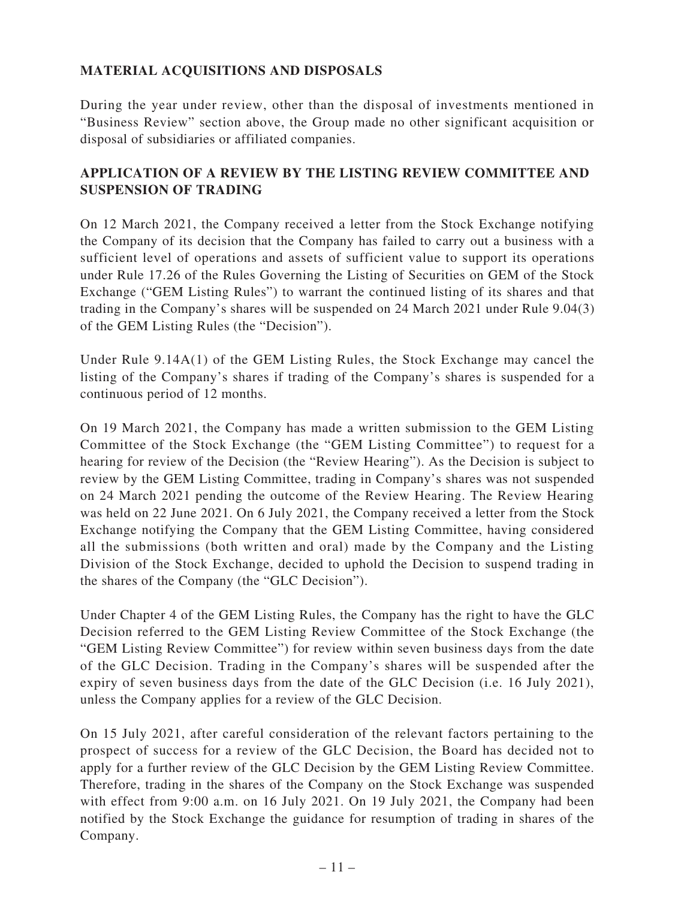# **MATERIAL ACQUISITIONS AND DISPOSALS**

During the year under review, other than the disposal of investments mentioned in "Business Review" section above, the Group made no other significant acquisition or disposal of subsidiaries or affiliated companies.

# **APPLICATION OF A REVIEW BY THE LISTING REVIEW COMMITTEE AND SUSPENSION OF TRADING**

On 12 March 2021, the Company received a letter from the Stock Exchange notifying the Company of its decision that the Company has failed to carry out a business with a sufficient level of operations and assets of sufficient value to support its operations under Rule 17.26 of the Rules Governing the Listing of Securities on GEM of the Stock Exchange ("GEM Listing Rules") to warrant the continued listing of its shares and that trading in the Company's shares will be suspended on 24 March 2021 under Rule 9.04(3) of the GEM Listing Rules (the "Decision").

Under Rule 9.14A(1) of the GEM Listing Rules, the Stock Exchange may cancel the listing of the Company's shares if trading of the Company's shares is suspended for a continuous period of 12 months.

On 19 March 2021, the Company has made a written submission to the GEM Listing Committee of the Stock Exchange (the "GEM Listing Committee") to request for a hearing for review of the Decision (the "Review Hearing"). As the Decision is subject to review by the GEM Listing Committee, trading in Company's shares was not suspended on 24 March 2021 pending the outcome of the Review Hearing. The Review Hearing was held on 22 June 2021. On 6 July 2021, the Company received a letter from the Stock Exchange notifying the Company that the GEM Listing Committee, having considered all the submissions (both written and oral) made by the Company and the Listing Division of the Stock Exchange, decided to uphold the Decision to suspend trading in the shares of the Company (the "GLC Decision").

Under Chapter 4 of the GEM Listing Rules, the Company has the right to have the GLC Decision referred to the GEM Listing Review Committee of the Stock Exchange (the "GEM Listing Review Committee") for review within seven business days from the date of the GLC Decision. Trading in the Company's shares will be suspended after the expiry of seven business days from the date of the GLC Decision (i.e. 16 July 2021), unless the Company applies for a review of the GLC Decision.

On 15 July 2021, after careful consideration of the relevant factors pertaining to the prospect of success for a review of the GLC Decision, the Board has decided not to apply for a further review of the GLC Decision by the GEM Listing Review Committee. Therefore, trading in the shares of the Company on the Stock Exchange was suspended with effect from 9:00 a.m. on 16 July 2021. On 19 July 2021, the Company had been notified by the Stock Exchange the guidance for resumption of trading in shares of the Company.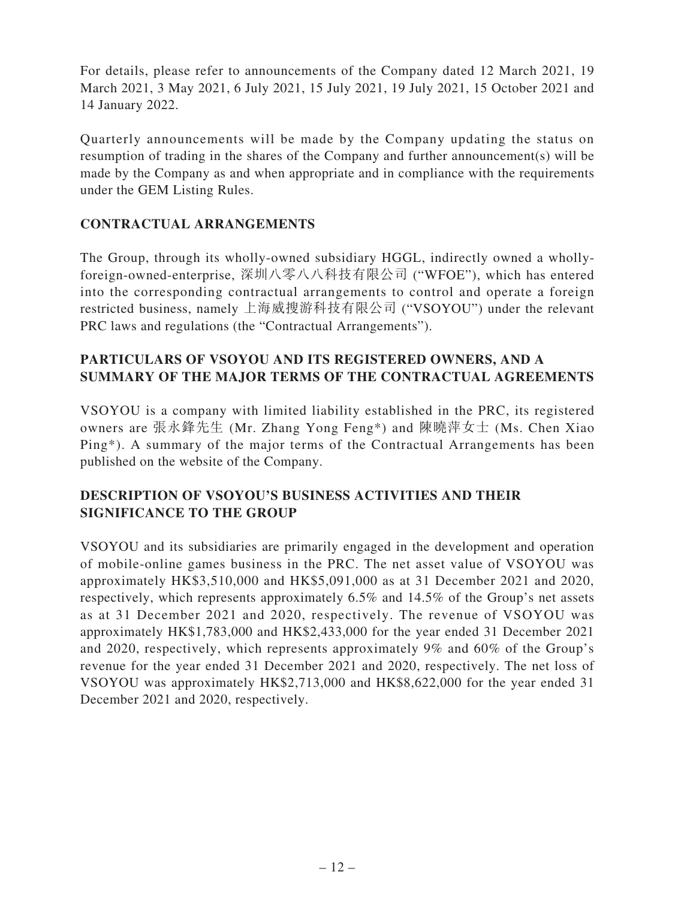For details, please refer to announcements of the Company dated 12 March 2021, 19 March 2021, 3 May 2021, 6 July 2021, 15 July 2021, 19 July 2021, 15 October 2021 and 14 January 2022.

Quarterly announcements will be made by the Company updating the status on resumption of trading in the shares of the Company and further announcement(s) will be made by the Company as and when appropriate and in compliance with the requirements under the GEM Listing Rules.

# **CONTRACTUAL ARRANGEMENTS**

The Group, through its wholly-owned subsidiary HGGL, indirectly owned a whollyforeign-owned-enterprise, 深圳八零八八科技有限公司 ("WFOE"), which has entered into the corresponding contractual arrangements to control and operate a foreign restricted business, namely 上海威搜游科技有限公司 ("VSOYOU") under the relevant PRC laws and regulations (the "Contractual Arrangements").

# **PARTICULARS OF VSOYOU AND ITS REGISTERED OWNERS, AND A SUMMARY OF THE MAJOR TERMS OF THE CONTRACTUAL AGREEMENTS**

VSOYOU is a company with limited liability established in the PRC, its registered owners are 張永鋒先生 (Mr. Zhang Yong Feng\*) and 陳曉萍女士 (Ms. Chen Xiao Ping\*). A summary of the major terms of the Contractual Arrangements has been published on the website of the Company.

# **DESCRIPTION OF VSOYOU'S BUSINESS ACTIVITIES AND THEIR SIGNIFICANCE TO THE GROUP**

VSOYOU and its subsidiaries are primarily engaged in the development and operation of mobile-online games business in the PRC. The net asset value of VSOYOU was approximately HK\$3,510,000 and HK\$5,091,000 as at 31 December 2021 and 2020, respectively, which represents approximately 6.5% and 14.5% of the Group's net assets as at 31 December 2021 and 2020, respectively. The revenue of VSOYOU was approximately HK\$1,783,000 and HK\$2,433,000 for the year ended 31 December 2021 and 2020, respectively, which represents approximately 9% and 60% of the Group's revenue for the year ended 31 December 2021 and 2020, respectively. The net loss of VSOYOU was approximately HK\$2,713,000 and HK\$8,622,000 for the year ended 31 December 2021 and 2020, respectively.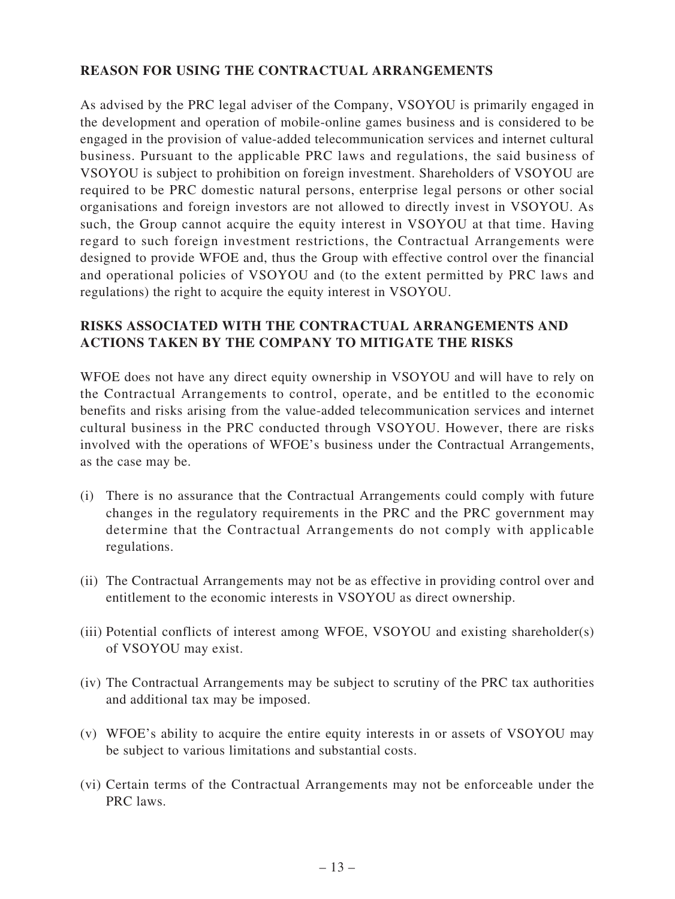# **REASON FOR USING THE CONTRACTUAL ARRANGEMENTS**

As advised by the PRC legal adviser of the Company, VSOYOU is primarily engaged in the development and operation of mobile-online games business and is considered to be engaged in the provision of value-added telecommunication services and internet cultural business. Pursuant to the applicable PRC laws and regulations, the said business of VSOYOU is subject to prohibition on foreign investment. Shareholders of VSOYOU are required to be PRC domestic natural persons, enterprise legal persons or other social organisations and foreign investors are not allowed to directly invest in VSOYOU. As such, the Group cannot acquire the equity interest in VSOYOU at that time. Having regard to such foreign investment restrictions, the Contractual Arrangements were designed to provide WFOE and, thus the Group with effective control over the financial and operational policies of VSOYOU and (to the extent permitted by PRC laws and regulations) the right to acquire the equity interest in VSOYOU.

# **RISKS ASSOCIATED WITH THE CONTRACTUAL ARRANGEMENTS AND ACTIONS TAKEN BY THE COMPANY TO MITIGATE THE RISKS**

WFOE does not have any direct equity ownership in VSOYOU and will have to rely on the Contractual Arrangements to control, operate, and be entitled to the economic benefits and risks arising from the value-added telecommunication services and internet cultural business in the PRC conducted through VSOYOU. However, there are risks involved with the operations of WFOE's business under the Contractual Arrangements, as the case may be.

- (i) There is no assurance that the Contractual Arrangements could comply with future changes in the regulatory requirements in the PRC and the PRC government may determine that the Contractual Arrangements do not comply with applicable regulations.
- (ii) The Contractual Arrangements may not be as effective in providing control over and entitlement to the economic interests in VSOYOU as direct ownership.
- (iii) Potential conflicts of interest among WFOE, VSOYOU and existing shareholder(s) of VSOYOU may exist.
- (iv) The Contractual Arrangements may be subject to scrutiny of the PRC tax authorities and additional tax may be imposed.
- (v) WFOE's ability to acquire the entire equity interests in or assets of VSOYOU may be subject to various limitations and substantial costs.
- (vi) Certain terms of the Contractual Arrangements may not be enforceable under the PRC laws.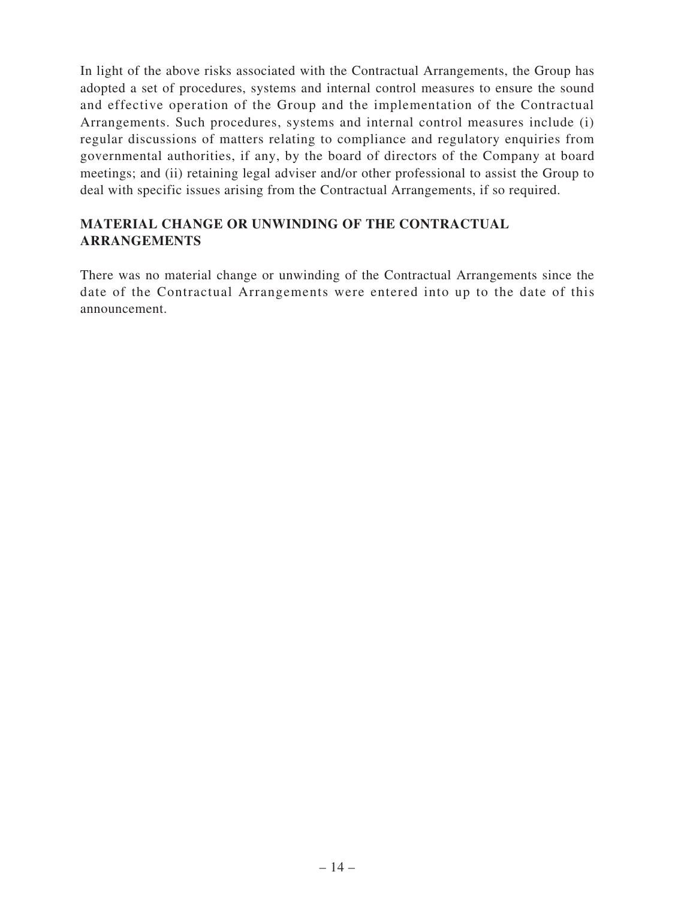In light of the above risks associated with the Contractual Arrangements, the Group has adopted a set of procedures, systems and internal control measures to ensure the sound and effective operation of the Group and the implementation of the Contractual Arrangements. Such procedures, systems and internal control measures include (i) regular discussions of matters relating to compliance and regulatory enquiries from governmental authorities, if any, by the board of directors of the Company at board meetings; and (ii) retaining legal adviser and/or other professional to assist the Group to deal with specific issues arising from the Contractual Arrangements, if so required.

# **MATERIAL CHANGE OR UNWINDING OF THE CONTRACTUAL ARRANGEMENTS**

There was no material change or unwinding of the Contractual Arrangements since the date of the Contractual Arrangements were entered into up to the date of this announcement.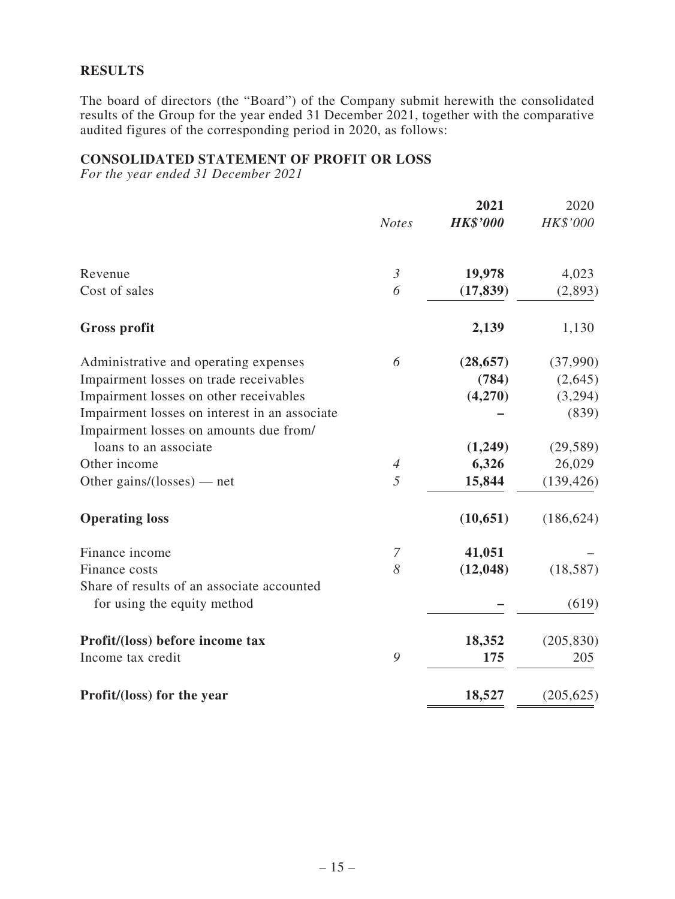### **RESULTS**

The board of directors (the "Board") of the Company submit herewith the consolidated results of the Group for the year ended 31 December 2021, together with the comparative audited figures of the corresponding period in 2020, as follows:

### **CONSOLIDATED STATEMENT OF PROFIT OR LOSS**

*For the year ended 31 December 2021*

|                                               | <b>Notes</b>   | 2021<br><b>HK\$'000</b> | 2020<br>HK\$'000 |
|-----------------------------------------------|----------------|-------------------------|------------------|
| Revenue                                       | $\mathfrak{Z}$ | 19,978                  | 4,023            |
| Cost of sales                                 | 6              | (17, 839)               | (2,893)          |
| <b>Gross profit</b>                           |                | 2,139                   | 1,130            |
| Administrative and operating expenses         | 6              | (28, 657)               | (37,990)         |
| Impairment losses on trade receivables        |                | (784)                   | (2,645)          |
| Impairment losses on other receivables        |                | (4,270)                 | (3,294)          |
| Impairment losses on interest in an associate |                |                         | (839)            |
| Impairment losses on amounts due from/        |                |                         |                  |
| loans to an associate                         |                | (1,249)                 | (29, 589)        |
| Other income                                  | $\overline{4}$ | 6,326                   | 26,029           |
| Other gains/(losses) — net                    | 5              | 15,844                  | (139, 426)       |
| <b>Operating loss</b>                         |                | (10, 651)               | (186, 624)       |
| Finance income                                | 7              | 41,051                  |                  |
| Finance costs                                 | 8              | (12, 048)               | (18, 587)        |
| Share of results of an associate accounted    |                |                         |                  |
| for using the equity method                   |                |                         | (619)            |
| Profit/(loss) before income tax               |                | 18,352                  | (205, 830)       |
| Income tax credit                             | 9              | 175                     | 205              |
| Profit/(loss) for the year                    |                | 18,527                  | (205, 625)       |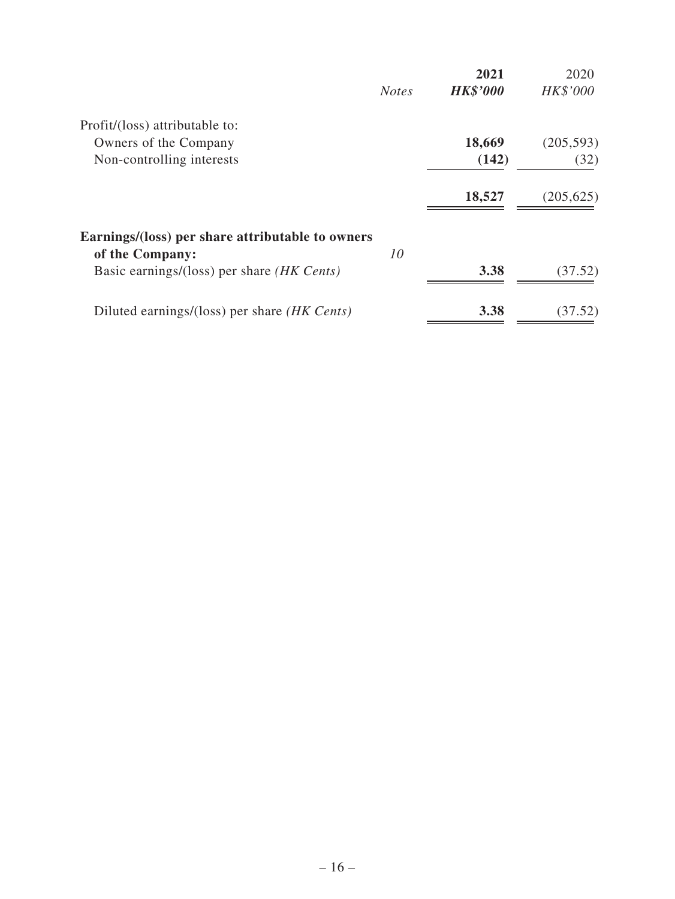|                                                     |              | 2021            | 2020       |
|-----------------------------------------------------|--------------|-----------------|------------|
|                                                     | <b>Notes</b> | <b>HK\$'000</b> | HK\$'000   |
| Profit/(loss) attributable to:                      |              |                 |            |
| Owners of the Company                               |              | 18,669          | (205, 593) |
| Non-controlling interests                           |              | (142)           | (32)       |
|                                                     |              | 18,527          | (205, 625) |
| Earnings/(loss) per share attributable to owners    |              |                 |            |
| of the Company:                                     | 10           |                 |            |
| Basic earnings/(loss) per share <i>(HK Cents)</i>   |              | 3.38            | (37.52)    |
| Diluted earnings/(loss) per share <i>(HK Cents)</i> |              | 3.38            | (37.52)    |
|                                                     |              |                 |            |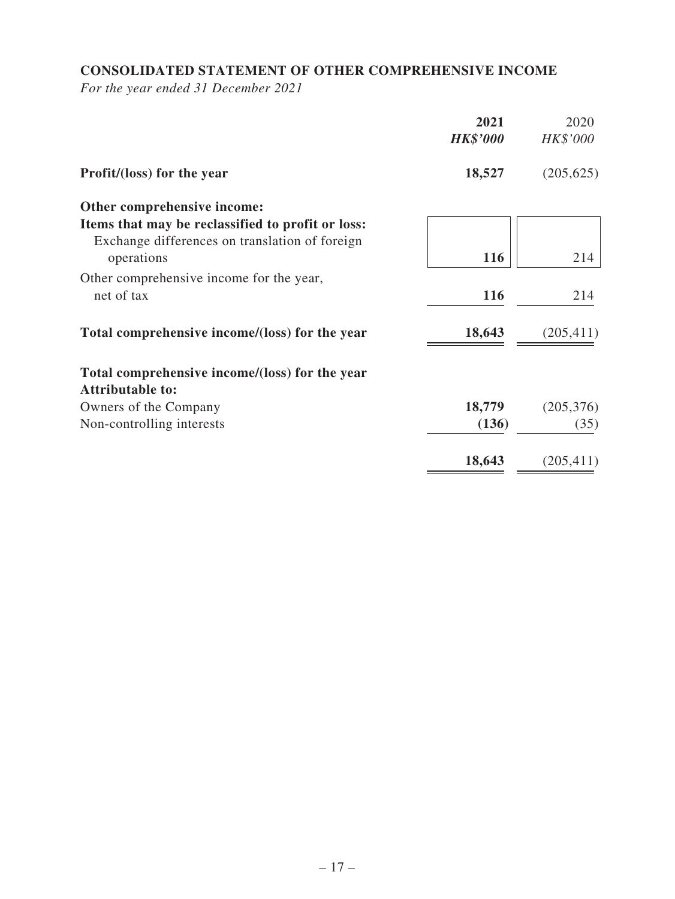# **CONSOLIDATED STATEMENT OF OTHER COMPREHENSIVE INCOME**

*For the year ended 31 December 2021*

|                                                                                                     | 2021<br><b>HK\$'000</b> | 2020<br>HK\$'000 |
|-----------------------------------------------------------------------------------------------------|-------------------------|------------------|
| Profit/(loss) for the year                                                                          | 18,527                  | (205, 625)       |
| Other comprehensive income:                                                                         |                         |                  |
| Items that may be reclassified to profit or loss:<br>Exchange differences on translation of foreign |                         |                  |
| operations                                                                                          | 116                     | 214              |
| Other comprehensive income for the year,<br>net of tax                                              | 116                     | 214              |
| Total comprehensive income/(loss) for the year                                                      | 18,643                  | (205, 411)       |
| Total comprehensive income/(loss) for the year<br><b>Attributable to:</b>                           |                         |                  |
| Owners of the Company                                                                               | 18,779                  | (205, 376)       |
| Non-controlling interests                                                                           | (136)                   | (35)             |
|                                                                                                     | 18,643                  | (205, 411)       |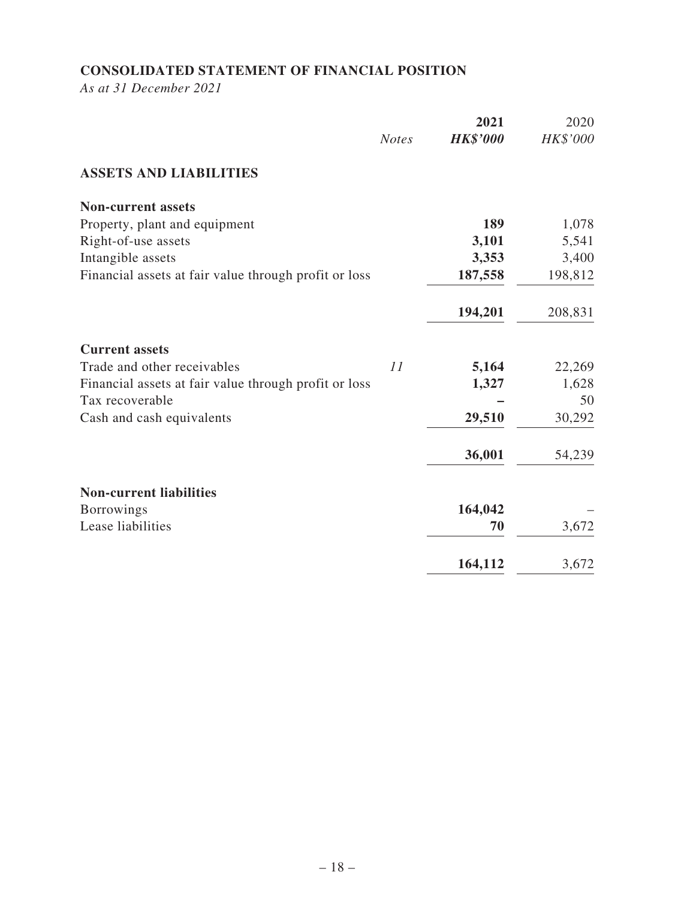# **CONSOLIDATED STATEMENT OF FINANCIAL POSITION**

*As at 31 December 2021*

|                                                       | <b>Notes</b> | 2021<br><b>HK\$'000</b> | 2020<br>HK\$'000 |
|-------------------------------------------------------|--------------|-------------------------|------------------|
| <b>ASSETS AND LIABILITIES</b>                         |              |                         |                  |
| <b>Non-current assets</b>                             |              |                         |                  |
| Property, plant and equipment                         |              | 189                     | 1,078            |
| Right-of-use assets                                   |              | 3,101                   | 5,541            |
| Intangible assets                                     |              | 3,353                   | 3,400            |
| Financial assets at fair value through profit or loss |              | 187,558                 | 198,812          |
|                                                       |              | 194,201                 | 208,831          |
| <b>Current assets</b>                                 |              |                         |                  |
| Trade and other receivables                           | 11           | 5,164                   | 22,269           |
| Financial assets at fair value through profit or loss |              | 1,327                   | 1,628            |
| Tax recoverable                                       |              |                         | 50               |
| Cash and cash equivalents                             |              | 29,510                  | 30,292           |
|                                                       |              | 36,001                  | 54,239           |
| <b>Non-current liabilities</b>                        |              |                         |                  |
| <b>Borrowings</b>                                     |              | 164,042                 |                  |
| Lease liabilities                                     |              | 70                      | 3,672            |
|                                                       |              | 164,112                 | 3,672            |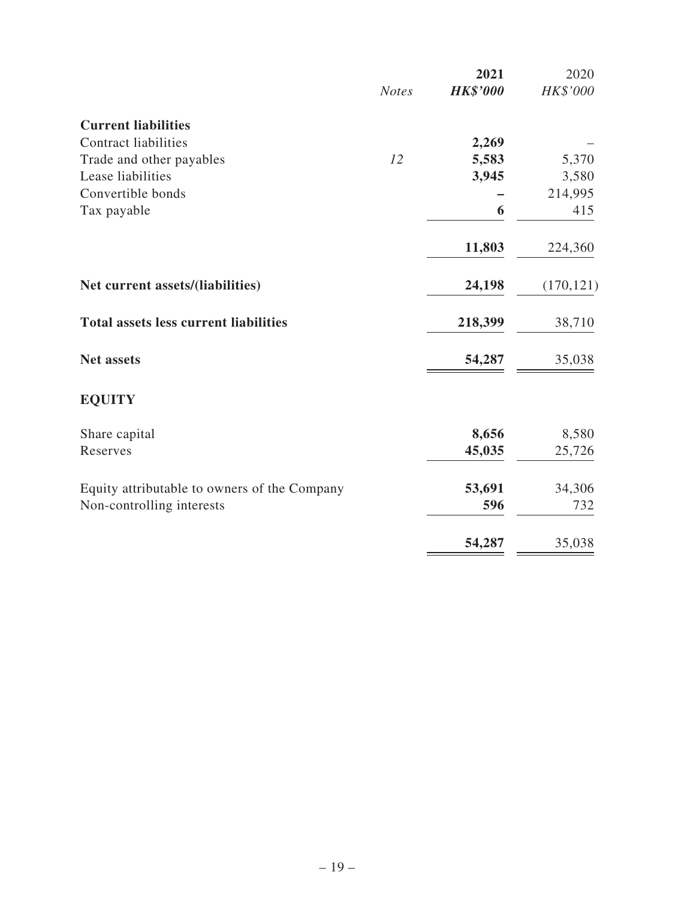|                                              |              | 2021            | 2020       |
|----------------------------------------------|--------------|-----------------|------------|
|                                              | <b>Notes</b> | <b>HK\$'000</b> | HK\$'000   |
| <b>Current liabilities</b>                   |              |                 |            |
| <b>Contract liabilities</b>                  |              | 2,269           |            |
| Trade and other payables                     | 12           | 5,583           | 5,370      |
| Lease liabilities                            |              | 3,945           | 3,580      |
| Convertible bonds                            |              |                 | 214,995    |
| Tax payable                                  |              | 6               | 415        |
|                                              |              | 11,803          | 224,360    |
| Net current assets/(liabilities)             |              | 24,198          | (170, 121) |
| <b>Total assets less current liabilities</b> |              | 218,399         | 38,710     |
| <b>Net assets</b>                            |              | 54,287          | 35,038     |
| <b>EQUITY</b>                                |              |                 |            |
| Share capital                                |              | 8,656           | 8,580      |
| Reserves                                     |              | 45,035          | 25,726     |
| Equity attributable to owners of the Company |              | 53,691          | 34,306     |
| Non-controlling interests                    |              | 596             | 732        |
|                                              |              | 54,287          | 35,038     |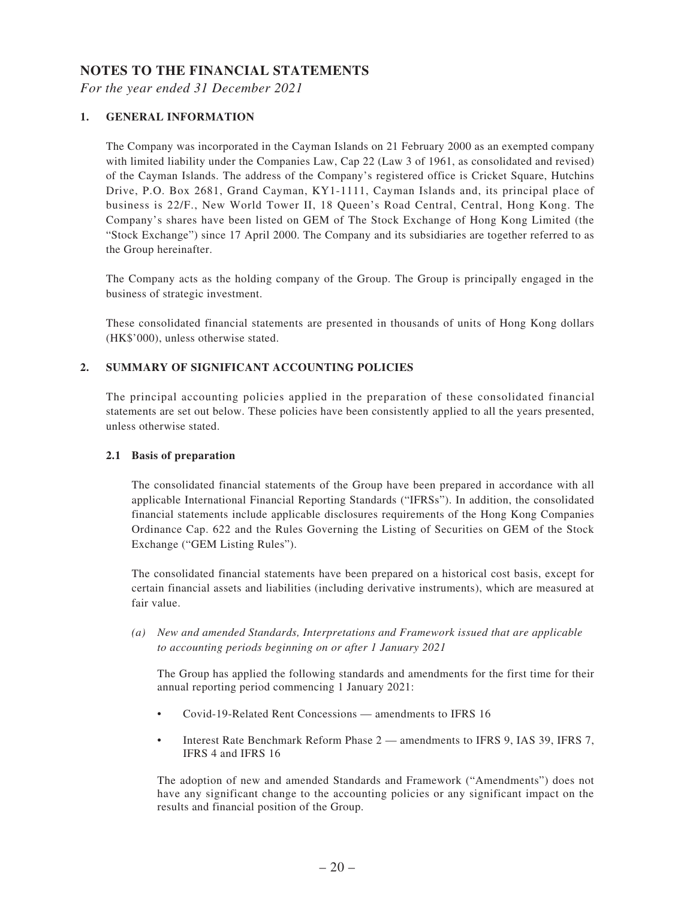### **NOTES TO THE FINANCIAL STATEMENTS**

*For the year ended 31 December 2021*

#### **1. GENERAL INFORMATION**

The Company was incorporated in the Cayman Islands on 21 February 2000 as an exempted company with limited liability under the Companies Law, Cap 22 (Law 3 of 1961, as consolidated and revised) of the Cayman Islands. The address of the Company's registered office is Cricket Square, Hutchins Drive, P.O. Box 2681, Grand Cayman, KY1-1111, Cayman Islands and, its principal place of business is 22/F., New World Tower II, 18 Queen's Road Central, Central, Hong Kong. The Company's shares have been listed on GEM of The Stock Exchange of Hong Kong Limited (the "Stock Exchange") since 17 April 2000. The Company and its subsidiaries are together referred to as the Group hereinafter.

The Company acts as the holding company of the Group. The Group is principally engaged in the business of strategic investment.

These consolidated financial statements are presented in thousands of units of Hong Kong dollars (HK\$'000), unless otherwise stated.

### **2. SUMMARY OF SIGNIFICANT ACCOUNTING POLICIES**

The principal accounting policies applied in the preparation of these consolidated financial statements are set out below. These policies have been consistently applied to all the years presented, unless otherwise stated.

#### **2.1 Basis of preparation**

The consolidated financial statements of the Group have been prepared in accordance with all applicable International Financial Reporting Standards ("IFRSs"). In addition, the consolidated financial statements include applicable disclosures requirements of the Hong Kong Companies Ordinance Cap. 622 and the Rules Governing the Listing of Securities on GEM of the Stock Exchange ("GEM Listing Rules").

The consolidated financial statements have been prepared on a historical cost basis, except for certain financial assets and liabilities (including derivative instruments), which are measured at fair value.

*(a) New and amended Standards, Interpretations and Framework issued that are applicable to accounting periods beginning on or after 1 January 2021*

The Group has applied the following standards and amendments for the first time for their annual reporting period commencing 1 January 2021:

- Covid-19-Related Rent Concessions amendments to IFRS 16
- Interest Rate Benchmark Reform Phase 2 amendments to IFRS 9, IAS 39, IFRS 7, IFRS 4 and IFRS 16

The adoption of new and amended Standards and Framework ("Amendments") does not have any significant change to the accounting policies or any significant impact on the results and financial position of the Group.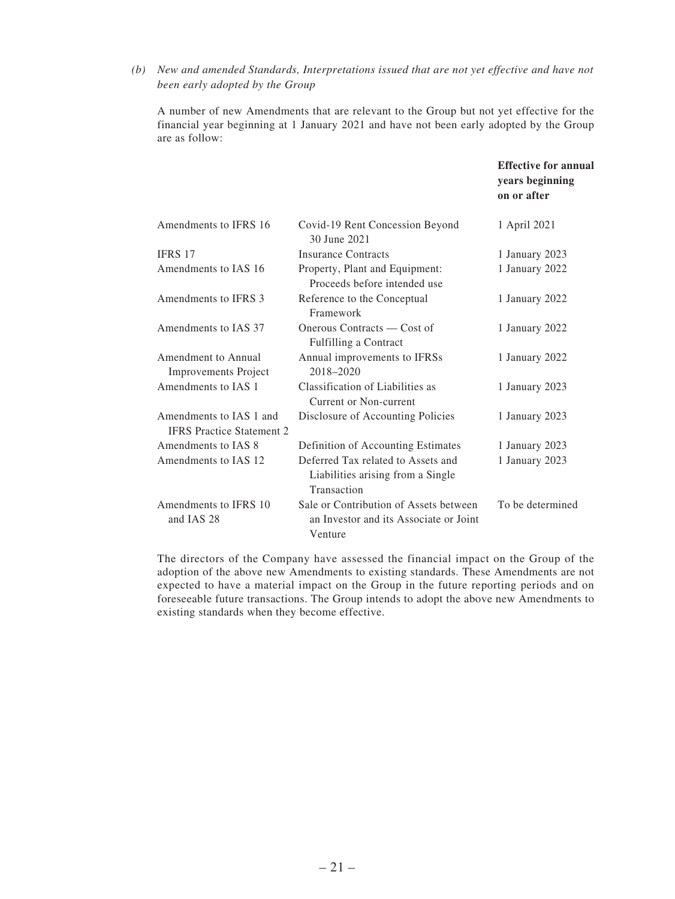*(b) New and amended Standards, Interpretations issued that are not yet effective and have not been early adopted by the Group*

A number of new Amendments that are relevant to the Group but not yet effective for the financial year beginning at 1 January 2021 and have not been early adopted by the Group are as follow:

|                                                             |                                                                                             | <b>Effective for annual</b><br>years beginning<br>on or after |
|-------------------------------------------------------------|---------------------------------------------------------------------------------------------|---------------------------------------------------------------|
| Amendments to IFRS 16                                       | Covid-19 Rent Concession Beyond<br>30 June 2021                                             | 1 April 2021                                                  |
| <b>IFRS 17</b>                                              | <b>Insurance Contracts</b>                                                                  | 1 January 2023                                                |
| Amendments to IAS 16                                        | Property, Plant and Equipment:<br>Proceeds before intended use                              | 1 January 2022                                                |
| Amendments to IFRS 3                                        | Reference to the Conceptual<br>Framework                                                    | 1 January 2022                                                |
| Amendments to IAS 37                                        | Onerous Contracts — Cost of<br>Fulfilling a Contract                                        | 1 January 2022                                                |
| Amendment to Annual<br><b>Improvements Project</b>          | Annual improvements to IFRSs<br>2018-2020                                                   | 1 January 2022                                                |
| Amendments to IAS 1                                         | Classification of Liabilities as<br>Current or Non-current                                  | 1 January 2023                                                |
| Amendments to IAS 1 and<br><b>IFRS</b> Practice Statement 2 | Disclosure of Accounting Policies                                                           | 1 January 2023                                                |
| Amendments to IAS 8                                         | Definition of Accounting Estimates                                                          | 1 January 2023                                                |
| Amendments to IAS 12                                        | Deferred Tax related to Assets and<br>Liabilities arising from a Single<br>Transaction      | 1 January 2023                                                |
| Amendments to IFRS 10<br>and IAS 28                         | Sale or Contribution of Assets between<br>an Investor and its Associate or Joint<br>Venture | To be determined                                              |

The directors of the Company have assessed the financial impact on the Group of the adoption of the above new Amendments to existing standards. These Amendments are not expected to have a material impact on the Group in the future reporting periods and on foreseeable future transactions. The Group intends to adopt the above new Amendments to existing standards when they become effective.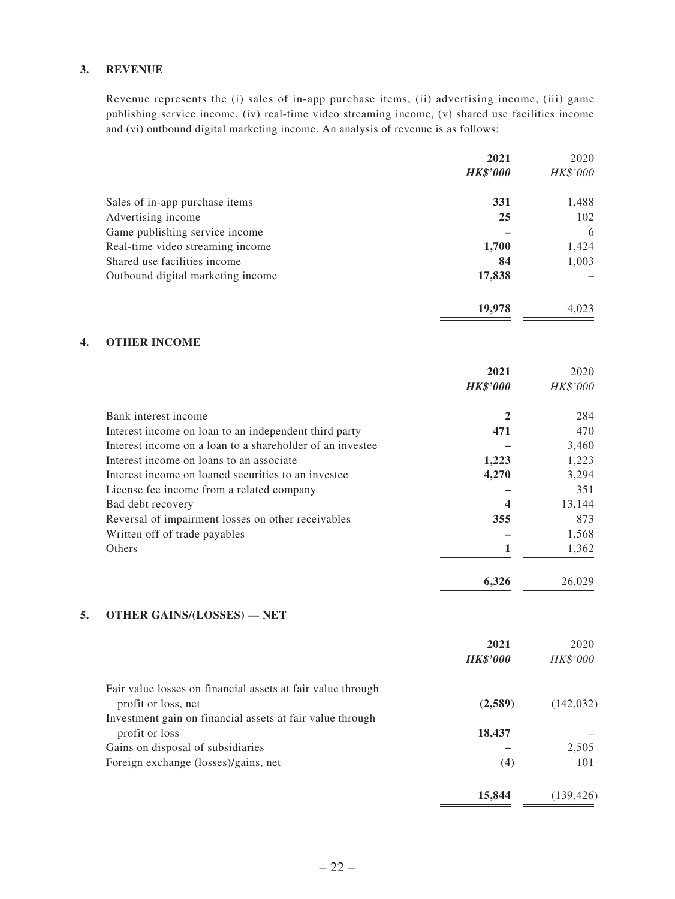#### **3. REVENUE**

Revenue represents the (i) sales of in-app purchase items, (ii) advertising income, (iii) game publishing service income, (iv) real-time video streaming income, (v) shared use facilities income and (vi) outbound digital marketing income. An analysis of revenue is as follows:

|    |                                                             | 2021                    | 2020             |
|----|-------------------------------------------------------------|-------------------------|------------------|
|    |                                                             | <b>HK\$'000</b>         | HK\$'000         |
|    | Sales of in-app purchase items                              | 331                     | 1,488            |
|    | Advertising income                                          | 25                      | 102              |
|    | Game publishing service income                              |                         | 6                |
|    | Real-time video streaming income                            | 1,700                   | 1,424            |
|    | Shared use facilities income                                | 84                      | 1,003            |
|    | Outbound digital marketing income                           | 17,838                  |                  |
|    |                                                             | 19,978                  | 4,023            |
| 4. | <b>OTHER INCOME</b>                                         |                         |                  |
|    |                                                             |                         |                  |
|    |                                                             | 2021<br><b>HK\$'000</b> | 2020<br>HK\$'000 |
|    |                                                             |                         |                  |
|    | Bank interest income                                        | $\mathbf{2}$            | 284              |
|    | Interest income on loan to an independent third party       | 471                     | 470              |
|    | Interest income on a loan to a shareholder of an investee   |                         | 3,460            |
|    | Interest income on loans to an associate                    | 1,223                   | 1,223            |
|    | Interest income on loaned securities to an investee         | 4,270                   | 3,294            |
|    | License fee income from a related company                   |                         | 351              |
|    | Bad debt recovery                                           | 4                       | 13,144           |
|    | Reversal of impairment losses on other receivables          | 355                     | 873              |
|    | Written off of trade payables                               |                         | 1,568            |
|    | Others                                                      | 1                       | 1,362            |
|    |                                                             | 6,326                   | 26,029           |
| 5. | <b>OTHER GAINS/(LOSSES) - NET</b>                           |                         |                  |
|    |                                                             | 2021                    | 2020             |
|    |                                                             | <b>HK\$'000</b>         | HK\$'000         |
|    |                                                             |                         |                  |
|    | Fair value losses on financial assets at fair value through |                         |                  |
|    | profit or loss, net                                         | (2,589)                 | (142, 032)       |
|    | Investment gain on financial assets at fair value through   |                         |                  |
|    | profit or loss                                              | 18,437                  |                  |
|    | Gains on disposal of subsidiaries                           |                         | 2,505            |
|    | Foreign exchange (losses)/gains, net                        | (4)                     | 101              |
|    |                                                             | 15,844                  | (139, 426)       |
|    |                                                             |                         |                  |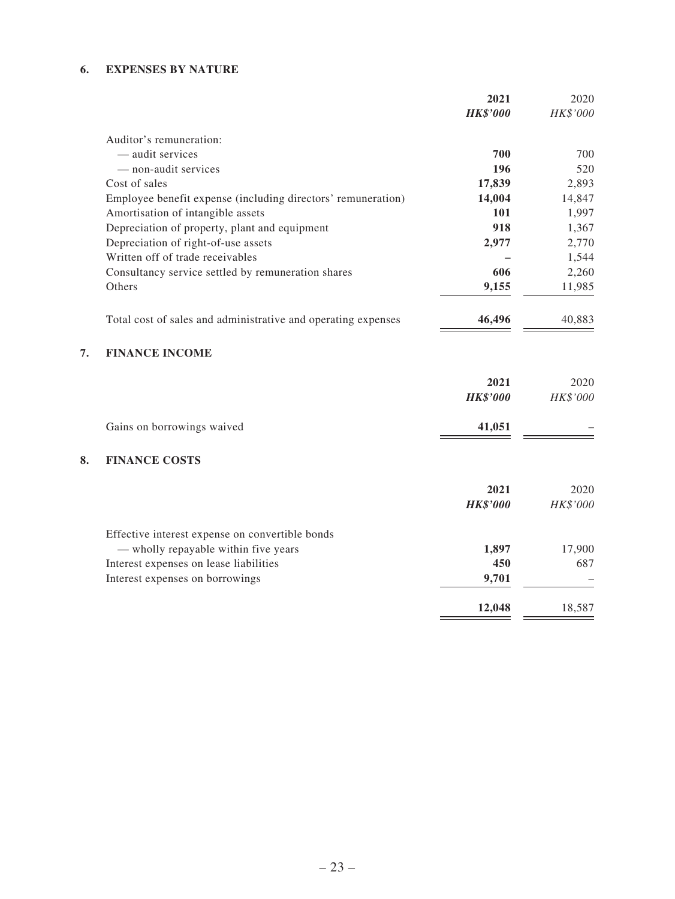### **6. EXPENSES BY NATURE**

|    |                                                               | 2021            | 2020     |
|----|---------------------------------------------------------------|-----------------|----------|
|    |                                                               | <b>HK\$'000</b> | HK\$'000 |
|    | Auditor's remuneration:                                       |                 |          |
|    | - audit services                                              | 700             | 700      |
|    | - non-audit services                                          | 196             | 520      |
|    | Cost of sales                                                 | 17,839          | 2,893    |
|    | Employee benefit expense (including directors' remuneration)  | 14,004          | 14,847   |
|    | Amortisation of intangible assets                             | 101             | 1,997    |
|    | Depreciation of property, plant and equipment                 | 918             | 1,367    |
|    | Depreciation of right-of-use assets                           | 2,977           | 2,770    |
|    | Written off of trade receivables                              |                 | 1,544    |
|    | Consultancy service settled by remuneration shares            | 606             | 2,260    |
|    | Others                                                        | 9,155           | 11,985   |
|    | Total cost of sales and administrative and operating expenses | 46,496          | 40,883   |
| 7. | <b>FINANCE INCOME</b>                                         |                 |          |
|    |                                                               | 2021            | 2020     |
|    |                                                               | <b>HK\$'000</b> | HK\$'000 |
|    | Gains on borrowings waived                                    | 41,051          |          |
| 8. | <b>FINANCE COSTS</b>                                          |                 |          |
|    |                                                               | 2021            | 2020     |
|    |                                                               | <b>HK\$'000</b> | HK\$'000 |
|    | Effective interest expense on convertible bonds               |                 |          |
|    | - wholly repayable within five years                          | 1,897           | 17,900   |
|    | Interest expenses on lease liabilities                        | 450             | 687      |
|    | Interest expenses on borrowings                               | 9,701           |          |
|    |                                                               | 12,048          | 18,587   |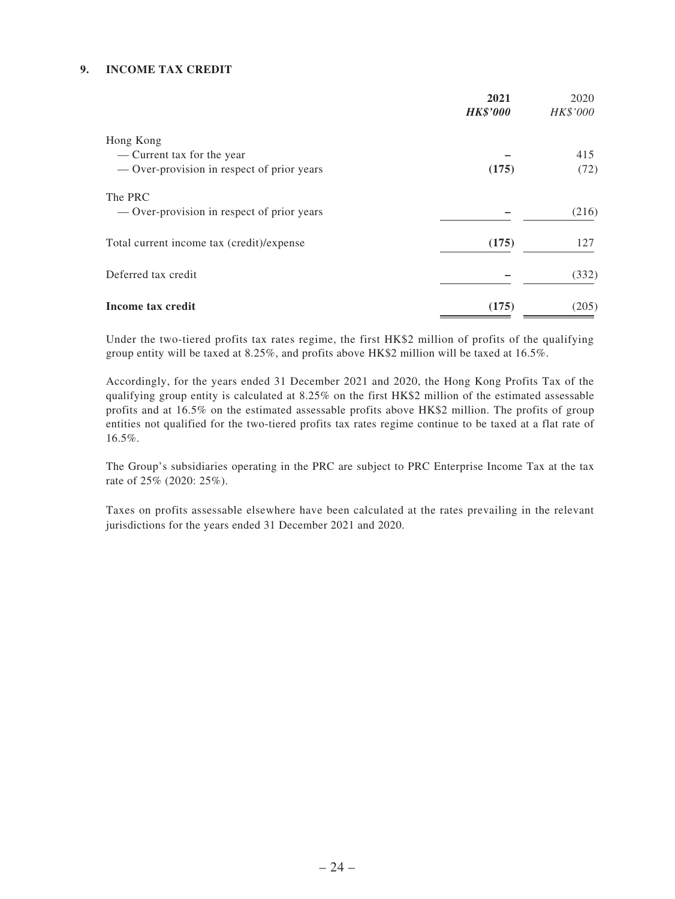#### **9. INCOME TAX CREDIT**

|                                            | 2021<br><b>HK\$'000</b> | 2020<br>HK\$'000 |
|--------------------------------------------|-------------------------|------------------|
| Hong Kong                                  |                         |                  |
| — Current tax for the year                 |                         | 415              |
| — Over-provision in respect of prior years | (175)                   | (72)             |
| The PRC                                    |                         |                  |
| - Over-provision in respect of prior years |                         | (216)            |
| Total current income tax (credit)/expense  | (175)                   | 127              |
| Deferred tax credit                        |                         | (332)            |
| Income tax credit                          | (175)                   | (205)            |

Under the two-tiered profits tax rates regime, the first HK\$2 million of profits of the qualifying group entity will be taxed at 8.25%, and profits above HK\$2 million will be taxed at 16.5%.

Accordingly, for the years ended 31 December 2021 and 2020, the Hong Kong Profits Tax of the qualifying group entity is calculated at 8.25% on the first HK\$2 million of the estimated assessable profits and at 16.5% on the estimated assessable profits above HK\$2 million. The profits of group entities not qualified for the two-tiered profits tax rates regime continue to be taxed at a flat rate of 16.5%.

The Group's subsidiaries operating in the PRC are subject to PRC Enterprise Income Tax at the tax rate of 25% (2020: 25%).

Taxes on profits assessable elsewhere have been calculated at the rates prevailing in the relevant jurisdictions for the years ended 31 December 2021 and 2020.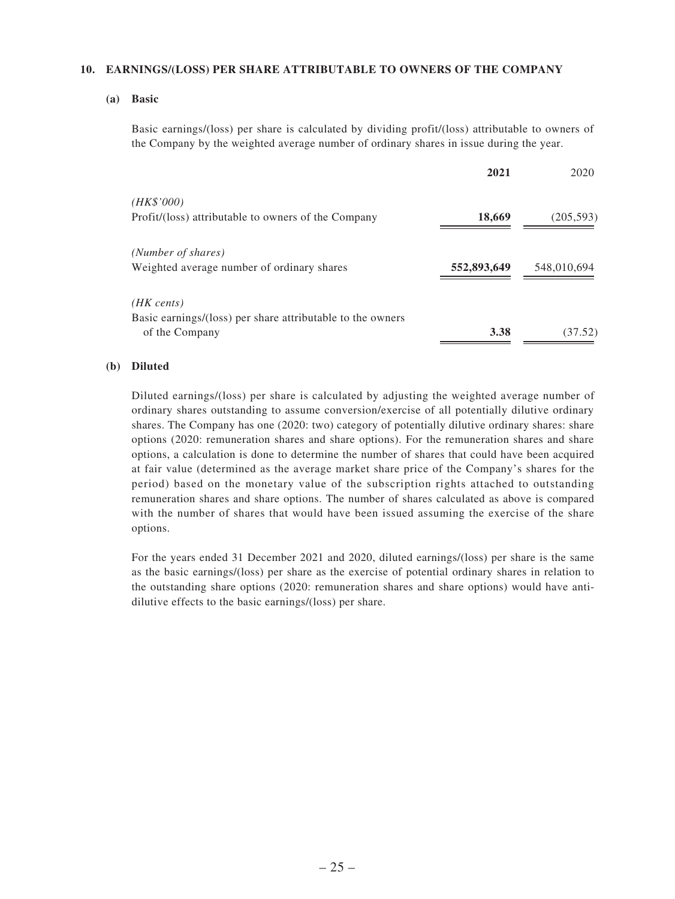#### **10. EARNINGS/(LOSS) PER SHARE ATTRIBUTABLE TO OWNERS OF THE COMPANY**

**(a) Basic**

Basic earnings/(loss) per share is calculated by dividing profit/(loss) attributable to owners of the Company by the weighted average number of ordinary shares in issue during the year.

|                                                            | 2021        | 2020        |
|------------------------------------------------------------|-------------|-------------|
| (HK\$'000)                                                 |             |             |
| Profit/(loss) attributable to owners of the Company        | 18,669      | (205, 593)  |
| (Number of shares)                                         |             |             |
| Weighted average number of ordinary shares                 | 552,893,649 | 548,010,694 |
| $(HK \text{ cents})$                                       |             |             |
| Basic earnings/(loss) per share attributable to the owners |             |             |
| of the Company                                             | 3.38        | (37.52)     |

#### **(b) Diluted**

Diluted earnings/(loss) per share is calculated by adjusting the weighted average number of ordinary shares outstanding to assume conversion/exercise of all potentially dilutive ordinary shares. The Company has one (2020: two) category of potentially dilutive ordinary shares: share options (2020: remuneration shares and share options). For the remuneration shares and share options, a calculation is done to determine the number of shares that could have been acquired at fair value (determined as the average market share price of the Company's shares for the period) based on the monetary value of the subscription rights attached to outstanding remuneration shares and share options. The number of shares calculated as above is compared with the number of shares that would have been issued assuming the exercise of the share options.

For the years ended 31 December 2021 and 2020, diluted earnings/(loss) per share is the same as the basic earnings/(loss) per share as the exercise of potential ordinary shares in relation to the outstanding share options (2020: remuneration shares and share options) would have antidilutive effects to the basic earnings/(loss) per share.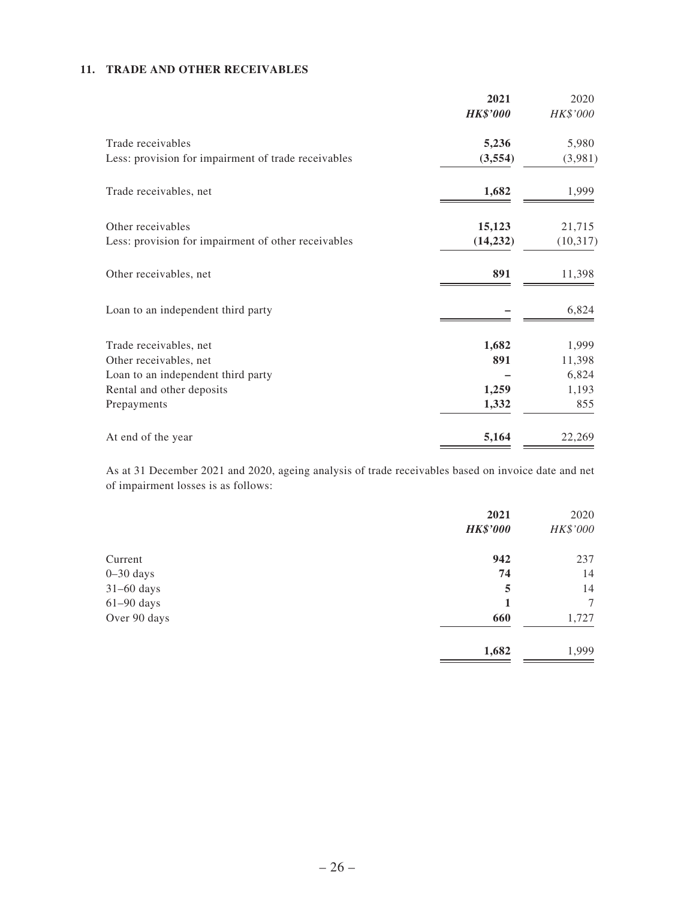#### **11. TRADE AND OTHER RECEIVABLES**

|                                                     | 2021            | 2020      |
|-----------------------------------------------------|-----------------|-----------|
|                                                     | <b>HK\$'000</b> | HK\$'000  |
| Trade receivables                                   | 5,236           | 5,980     |
| Less: provision for impairment of trade receivables | (3,554)         | (3,981)   |
| Trade receivables, net                              | 1,682           | 1,999     |
| Other receivables                                   | 15,123          | 21,715    |
| Less: provision for impairment of other receivables | (14, 232)       | (10, 317) |
| Other receivables, net                              | 891             | 11,398    |
| Loan to an independent third party                  |                 | 6,824     |
| Trade receivables, net                              | 1,682           | 1,999     |
| Other receivables, net                              | 891             | 11,398    |
| Loan to an independent third party                  |                 | 6,824     |
| Rental and other deposits                           | 1,259           | 1,193     |
| Prepayments                                         | 1,332           | 855       |
| At end of the year                                  | 5,164           | 22,269    |

As at 31 December 2021 and 2020, ageing analysis of trade receivables based on invoice date and net of impairment losses is as follows:

|               | 2021<br><b>HK\$'000</b> | 2020<br>HK\$'000 |
|---------------|-------------------------|------------------|
| Current       | 942                     | 237              |
| $0 - 30$ days | 74                      | 14               |
| $31-60$ days  | 5                       | 14               |
| $61-90$ days  |                         | 7                |
| Over 90 days  | 660                     | 1,727            |
|               | 1,682                   | 1,999            |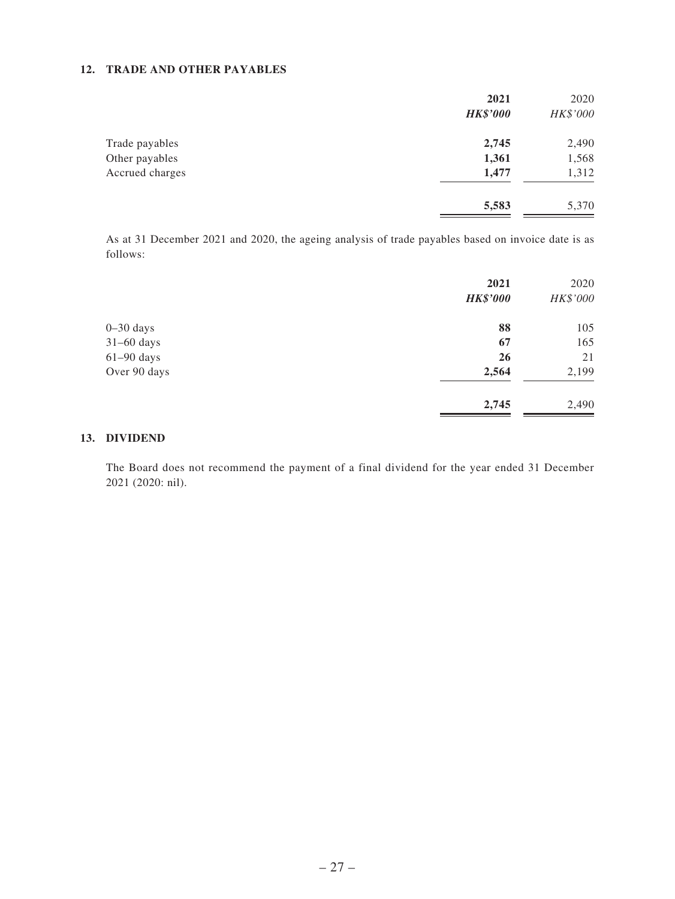#### **12. TRADE AND OTHER PAYABLES**

|                 | 2021<br><b>HK\$'000</b> | 2020<br>HK\$'000 |
|-----------------|-------------------------|------------------|
| Trade payables  | 2,745                   | 2,490            |
| Other payables  | 1,361                   | 1,568            |
| Accrued charges | 1,477                   | 1,312            |
|                 | 5,583                   | 5,370            |

As at 31 December 2021 and 2020, the ageing analysis of trade payables based on invoice date is as follows:

|               | 2021            | 2020     |
|---------------|-----------------|----------|
|               | <b>HK\$'000</b> | HK\$'000 |
| $0 - 30$ days | 88              | 105      |
| $31-60$ days  | 67              | 165      |
| $61-90$ days  | 26              | 21       |
| Over 90 days  | 2,564           | 2,199    |
|               | 2,745           | 2,490    |

#### **13. DIVIDEND**

The Board does not recommend the payment of a final dividend for the year ended 31 December 2021 (2020: nil).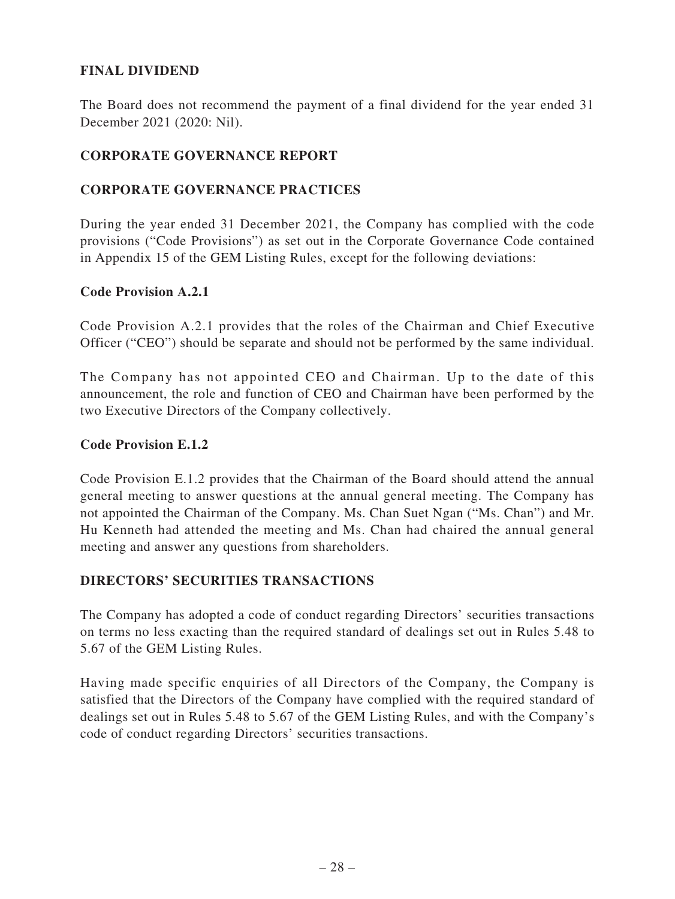# **FINAL DIVIDEND**

The Board does not recommend the payment of a final dividend for the year ended 31 December 2021 (2020: Nil).

## **CORPORATE GOVERNANCE REPORT**

# **CORPORATE GOVERNANCE PRACTICES**

During the year ended 31 December 2021, the Company has complied with the code provisions ("Code Provisions") as set out in the Corporate Governance Code contained in Appendix 15 of the GEM Listing Rules, except for the following deviations:

### **Code Provision A.2.1**

Code Provision A.2.1 provides that the roles of the Chairman and Chief Executive Officer ("CEO") should be separate and should not be performed by the same individual.

The Company has not appointed CEO and Chairman. Up to the date of this announcement, the role and function of CEO and Chairman have been performed by the two Executive Directors of the Company collectively.

### **Code Provision E.1.2**

Code Provision E.1.2 provides that the Chairman of the Board should attend the annual general meeting to answer questions at the annual general meeting. The Company has not appointed the Chairman of the Company. Ms. Chan Suet Ngan ("Ms. Chan") and Mr. Hu Kenneth had attended the meeting and Ms. Chan had chaired the annual general meeting and answer any questions from shareholders.

### **DIRECTORS' SECURITIES TRANSACTIONS**

The Company has adopted a code of conduct regarding Directors' securities transactions on terms no less exacting than the required standard of dealings set out in Rules 5.48 to 5.67 of the GEM Listing Rules.

Having made specific enquiries of all Directors of the Company, the Company is satisfied that the Directors of the Company have complied with the required standard of dealings set out in Rules 5.48 to 5.67 of the GEM Listing Rules, and with the Company's code of conduct regarding Directors' securities transactions.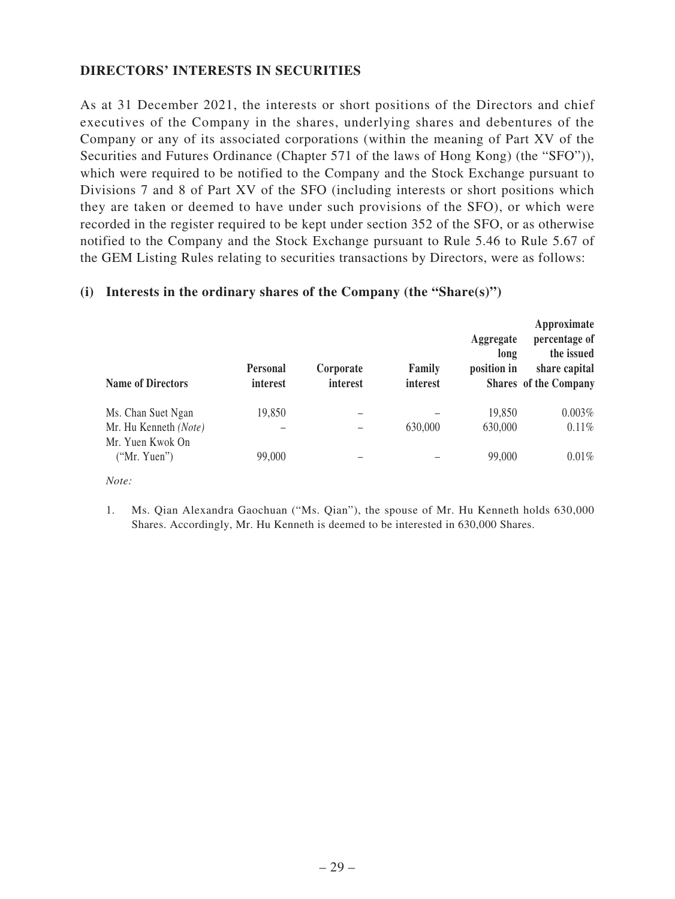# **DIRECTORS' INTERESTS IN SECURITIES**

As at 31 December 2021, the interests or short positions of the Directors and chief executives of the Company in the shares, underlying shares and debentures of the Company or any of its associated corporations (within the meaning of Part XV of the Securities and Futures Ordinance (Chapter 571 of the laws of Hong Kong) (the "SFO")), which were required to be notified to the Company and the Stock Exchange pursuant to Divisions 7 and 8 of Part XV of the SFO (including interests or short positions which they are taken or deemed to have under such provisions of the SFO), or which were recorded in the register required to be kept under section 352 of the SFO, or as otherwise notified to the Company and the Stock Exchange pursuant to Rule 5.46 to Rule 5.67 of the GEM Listing Rules relating to securities transactions by Directors, were as follows:

#### **Name of Directors Personal interest Corporate interest Family interest Aggregate long position in Shares of the Company Approximate percentage of the issued share capital** Ms. Chan Suet Ngan 19,850 – – 19,850 0.003% Mr. Hu Kenneth *(Note)* – – 630,000 630,000 0.11% Mr. Yuen Kwok On ("Mr. Yuen") 99,000 – – 99,000 – ("Mr. Yuen") 99,000 0.01%

### **(i) Interests in the ordinary shares of the Company (the "Share(s)")**

*Note:*

1. Ms. Qian Alexandra Gaochuan ("Ms. Qian"), the spouse of Mr. Hu Kenneth holds 630,000 Shares. Accordingly, Mr. Hu Kenneth is deemed to be interested in 630,000 Shares.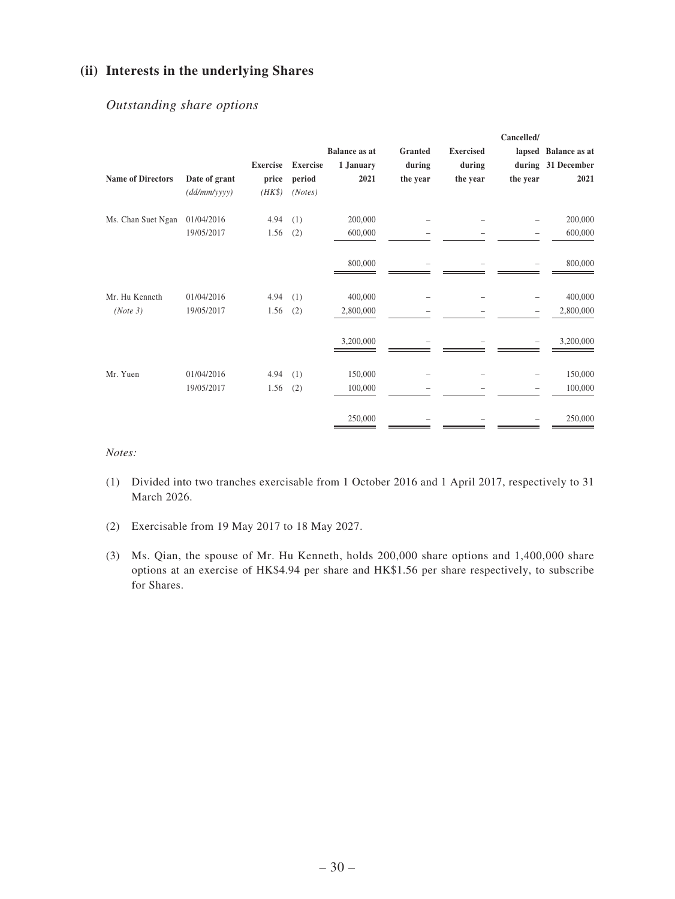# **(ii) Interests in the underlying Shares**

## *Outstanding share options*

|                          |               |                 |                 |                      |          |                  | Cancelled/ |                      |
|--------------------------|---------------|-----------------|-----------------|----------------------|----------|------------------|------------|----------------------|
|                          |               |                 |                 | <b>Balance as at</b> | Granted  | <b>Exercised</b> |            | lapsed Balance as at |
|                          |               | <b>Exercise</b> | <b>Exercise</b> | 1 January            | during   | during           |            | during 31 December   |
| <b>Name of Directors</b> | Date of grant | price           | period          | 2021                 | the year | the year         | the year   | 2021                 |
|                          | (dd/mm/yyyy)  | $(HK\$          | (Notes)         |                      |          |                  |            |                      |
| Ms. Chan Suet Ngan       | 01/04/2016    | 4.94            | (1)             | 200,000              |          |                  |            | 200,000              |
|                          | 19/05/2017    | 1.56            | (2)             | 600,000              |          |                  |            | 600,000              |
|                          |               |                 |                 | 800,000              |          |                  |            | 800,000              |
| Mr. Hu Kenneth           | 01/04/2016    | 4.94            | (1)             | 400,000              |          |                  |            | 400,000              |
| (Note 3)                 | 19/05/2017    | 1.56            | (2)             | 2,800,000            |          |                  |            | 2,800,000            |
|                          |               |                 |                 | 3,200,000            |          |                  |            | 3,200,000            |
| Mr. Yuen                 | 01/04/2016    | 4.94            | (1)             | 150,000              |          |                  |            | 150,000              |
|                          | 19/05/2017    | 1.56            | (2)             | 100,000              |          |                  |            | 100,000              |
|                          |               |                 |                 | 250,000              |          |                  |            | 250,000              |

*Notes:*

- (1) Divided into two tranches exercisable from 1 October 2016 and 1 April 2017, respectively to 31 March 2026.
- (2) Exercisable from 19 May 2017 to 18 May 2027.
- (3) Ms. Qian, the spouse of Mr. Hu Kenneth, holds 200,000 share options and 1,400,000 share options at an exercise of HK\$4.94 per share and HK\$1.56 per share respectively, to subscribe for Shares.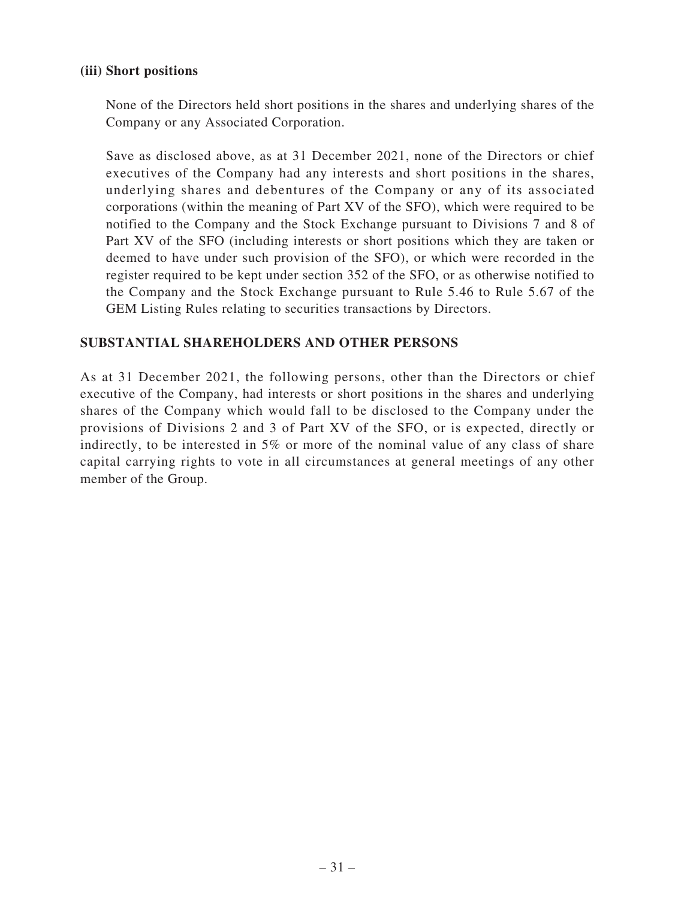### **(iii) Short positions**

None of the Directors held short positions in the shares and underlying shares of the Company or any Associated Corporation.

Save as disclosed above, as at 31 December 2021, none of the Directors or chief executives of the Company had any interests and short positions in the shares, underlying shares and debentures of the Company or any of its associated corporations (within the meaning of Part XV of the SFO), which were required to be notified to the Company and the Stock Exchange pursuant to Divisions 7 and 8 of Part XV of the SFO (including interests or short positions which they are taken or deemed to have under such provision of the SFO), or which were recorded in the register required to be kept under section 352 of the SFO, or as otherwise notified to the Company and the Stock Exchange pursuant to Rule 5.46 to Rule 5.67 of the GEM Listing Rules relating to securities transactions by Directors.

### **SUBSTANTIAL SHAREHOLDERS AND OTHER PERSONS**

As at 31 December 2021, the following persons, other than the Directors or chief executive of the Company, had interests or short positions in the shares and underlying shares of the Company which would fall to be disclosed to the Company under the provisions of Divisions 2 and 3 of Part XV of the SFO, or is expected, directly or indirectly, to be interested in 5% or more of the nominal value of any class of share capital carrying rights to vote in all circumstances at general meetings of any other member of the Group.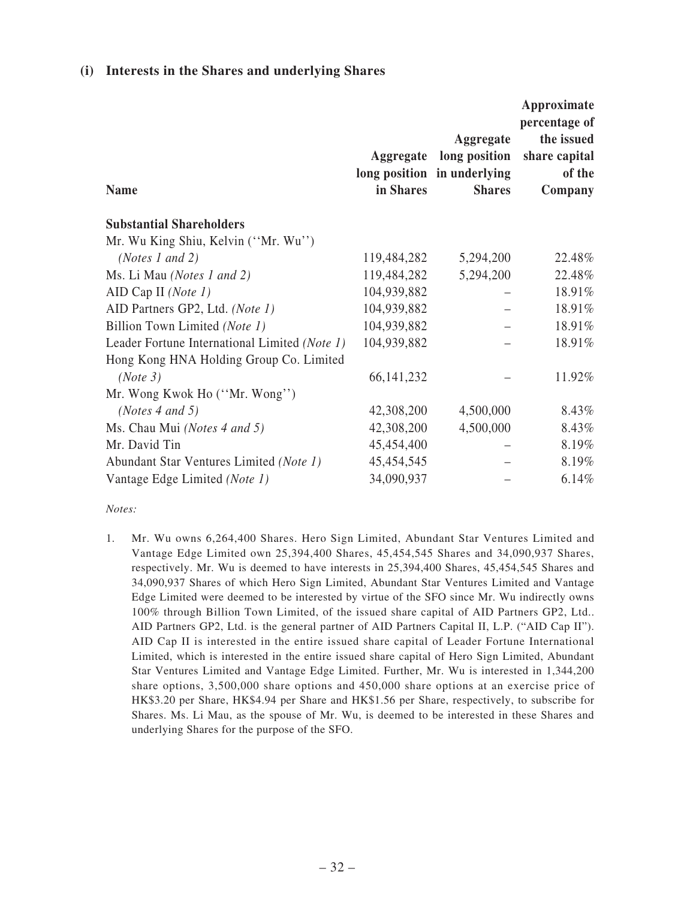### **(i) Interests in the Shares and underlying Shares**

| <b>Name</b>                                   | in Shares    | Aggregate<br>Aggregate long position<br>long position in underlying<br><b>Shares</b> | Approximate<br>percentage of<br>the issued<br>share capital<br>of the<br>Company |
|-----------------------------------------------|--------------|--------------------------------------------------------------------------------------|----------------------------------------------------------------------------------|
| <b>Substantial Shareholders</b>               |              |                                                                                      |                                                                                  |
| Mr. Wu King Shiu, Kelvin ("Mr. Wu")           |              |                                                                                      |                                                                                  |
| ( <i>Notes 1 and 2</i> )                      | 119,484,282  | 5,294,200                                                                            | 22.48%                                                                           |
| Ms. Li Mau (Notes 1 and 2)                    | 119,484,282  | 5,294,200                                                                            | 22.48%                                                                           |
| AID Cap II (Note $1$ )                        | 104,939,882  |                                                                                      | 18.91%                                                                           |
| AID Partners GP2, Ltd. (Note 1)               | 104,939,882  |                                                                                      | 18.91%                                                                           |
| Billion Town Limited (Note 1)                 | 104,939,882  |                                                                                      | 18.91%                                                                           |
| Leader Fortune International Limited (Note 1) | 104,939,882  |                                                                                      | 18.91%                                                                           |
| Hong Kong HNA Holding Group Co. Limited       |              |                                                                                      |                                                                                  |
| (Note 3)                                      | 66, 141, 232 |                                                                                      | 11.92%                                                                           |
| Mr. Wong Kwok Ho ("Mr. Wong")                 |              |                                                                                      |                                                                                  |
| ( <i>Notes 4 and 5</i> )                      | 42,308,200   | 4,500,000                                                                            | 8.43%                                                                            |
| Ms. Chau Mui (Notes 4 and 5)                  | 42,308,200   | 4,500,000                                                                            | 8.43%                                                                            |
| Mr. David Tin                                 | 45,454,400   |                                                                                      | 8.19%                                                                            |
| Abundant Star Ventures Limited (Note 1)       | 45, 454, 545 |                                                                                      | 8.19%                                                                            |
| Vantage Edge Limited (Note 1)                 | 34,090,937   |                                                                                      | 6.14%                                                                            |

#### *Notes:*

1. Mr. Wu owns 6,264,400 Shares. Hero Sign Limited, Abundant Star Ventures Limited and Vantage Edge Limited own 25,394,400 Shares, 45,454,545 Shares and 34,090,937 Shares, respectively. Mr. Wu is deemed to have interests in 25,394,400 Shares, 45,454,545 Shares and 34,090,937 Shares of which Hero Sign Limited, Abundant Star Ventures Limited and Vantage Edge Limited were deemed to be interested by virtue of the SFO since Mr. Wu indirectly owns 100% through Billion Town Limited, of the issued share capital of AID Partners GP2, Ltd.. AID Partners GP2, Ltd. is the general partner of AID Partners Capital II, L.P. ("AID Cap II"). AID Cap II is interested in the entire issued share capital of Leader Fortune International Limited, which is interested in the entire issued share capital of Hero Sign Limited, Abundant Star Ventures Limited and Vantage Edge Limited. Further, Mr. Wu is interested in 1,344,200 share options, 3,500,000 share options and 450,000 share options at an exercise price of HK\$3.20 per Share, HK\$4.94 per Share and HK\$1.56 per Share, respectively, to subscribe for Shares. Ms. Li Mau, as the spouse of Mr. Wu, is deemed to be interested in these Shares and underlying Shares for the purpose of the SFO.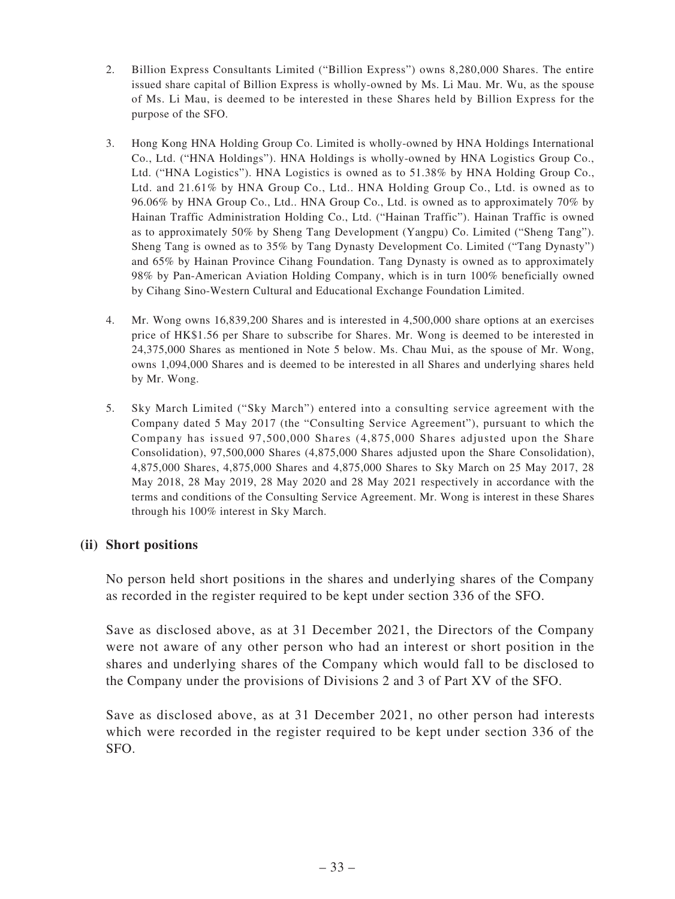- 2. Billion Express Consultants Limited ("Billion Express") owns 8,280,000 Shares. The entire issued share capital of Billion Express is wholly-owned by Ms. Li Mau. Mr. Wu, as the spouse of Ms. Li Mau, is deemed to be interested in these Shares held by Billion Express for the purpose of the SFO.
- 3. Hong Kong HNA Holding Group Co. Limited is wholly-owned by HNA Holdings International Co., Ltd. ("HNA Holdings"). HNA Holdings is wholly-owned by HNA Logistics Group Co., Ltd. ("HNA Logistics"). HNA Logistics is owned as to 51.38% by HNA Holding Group Co., Ltd. and 21.61% by HNA Group Co., Ltd.. HNA Holding Group Co., Ltd. is owned as to 96.06% by HNA Group Co., Ltd.. HNA Group Co., Ltd. is owned as to approximately 70% by Hainan Traffic Administration Holding Co., Ltd. ("Hainan Traffic"). Hainan Traffic is owned as to approximately 50% by Sheng Tang Development (Yangpu) Co. Limited ("Sheng Tang"). Sheng Tang is owned as to 35% by Tang Dynasty Development Co. Limited ("Tang Dynasty") and 65% by Hainan Province Cihang Foundation. Tang Dynasty is owned as to approximately 98% by Pan-American Aviation Holding Company, which is in turn 100% beneficially owned by Cihang Sino-Western Cultural and Educational Exchange Foundation Limited.
- 4. Mr. Wong owns 16,839,200 Shares and is interested in 4,500,000 share options at an exercises price of HK\$1.56 per Share to subscribe for Shares. Mr. Wong is deemed to be interested in 24,375,000 Shares as mentioned in Note 5 below. Ms. Chau Mui, as the spouse of Mr. Wong, owns 1,094,000 Shares and is deemed to be interested in all Shares and underlying shares held by Mr. Wong.
- 5. Sky March Limited ("Sky March") entered into a consulting service agreement with the Company dated 5 May 2017 (the "Consulting Service Agreement"), pursuant to which the Company has issued 97,500,000 Shares (4,875,000 Shares adjusted upon the Share Consolidation), 97,500,000 Shares (4,875,000 Shares adjusted upon the Share Consolidation), 4,875,000 Shares, 4,875,000 Shares and 4,875,000 Shares to Sky March on 25 May 2017, 28 May 2018, 28 May 2019, 28 May 2020 and 28 May 2021 respectively in accordance with the terms and conditions of the Consulting Service Agreement. Mr. Wong is interest in these Shares through his 100% interest in Sky March.

### **(ii) Short positions**

No person held short positions in the shares and underlying shares of the Company as recorded in the register required to be kept under section 336 of the SFO.

Save as disclosed above, as at 31 December 2021, the Directors of the Company were not aware of any other person who had an interest or short position in the shares and underlying shares of the Company which would fall to be disclosed to the Company under the provisions of Divisions 2 and 3 of Part XV of the SFO.

Save as disclosed above, as at 31 December 2021, no other person had interests which were recorded in the register required to be kept under section 336 of the SFO.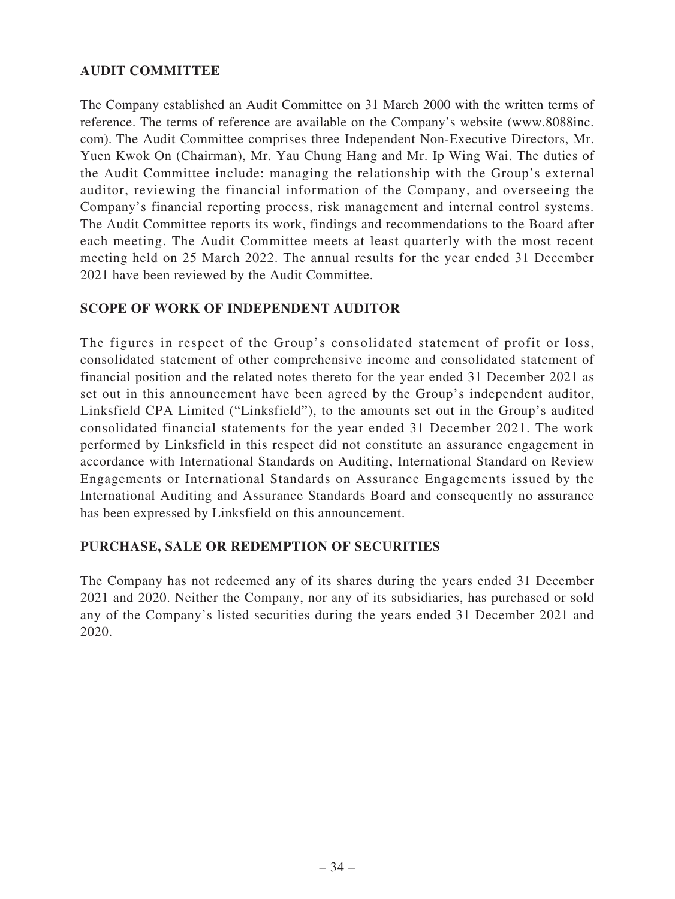# **AUDIT COMMITTEE**

The Company established an Audit Committee on 31 March 2000 with the written terms of reference. The terms of reference are available on the Company's website (www.8088inc. com). The Audit Committee comprises three Independent Non-Executive Directors, Mr. Yuen Kwok On (Chairman), Mr. Yau Chung Hang and Mr. Ip Wing Wai. The duties of the Audit Committee include: managing the relationship with the Group's external auditor, reviewing the financial information of the Company, and overseeing the Company's financial reporting process, risk management and internal control systems. The Audit Committee reports its work, findings and recommendations to the Board after each meeting. The Audit Committee meets at least quarterly with the most recent meeting held on 25 March 2022. The annual results for the year ended 31 December 2021 have been reviewed by the Audit Committee.

# **SCOPE OF WORK OF INDEPENDENT AUDITOR**

The figures in respect of the Group's consolidated statement of profit or loss, consolidated statement of other comprehensive income and consolidated statement of financial position and the related notes thereto for the year ended 31 December 2021 as set out in this announcement have been agreed by the Group's independent auditor, Linksfield CPA Limited ("Linksfield"), to the amounts set out in the Group's audited consolidated financial statements for the year ended 31 December 2021. The work performed by Linksfield in this respect did not constitute an assurance engagement in accordance with International Standards on Auditing, International Standard on Review Engagements or International Standards on Assurance Engagements issued by the International Auditing and Assurance Standards Board and consequently no assurance has been expressed by Linksfield on this announcement.

### **PURCHASE, SALE OR REDEMPTION OF SECURITIES**

The Company has not redeemed any of its shares during the years ended 31 December 2021 and 2020. Neither the Company, nor any of its subsidiaries, has purchased or sold any of the Company's listed securities during the years ended 31 December 2021 and 2020.